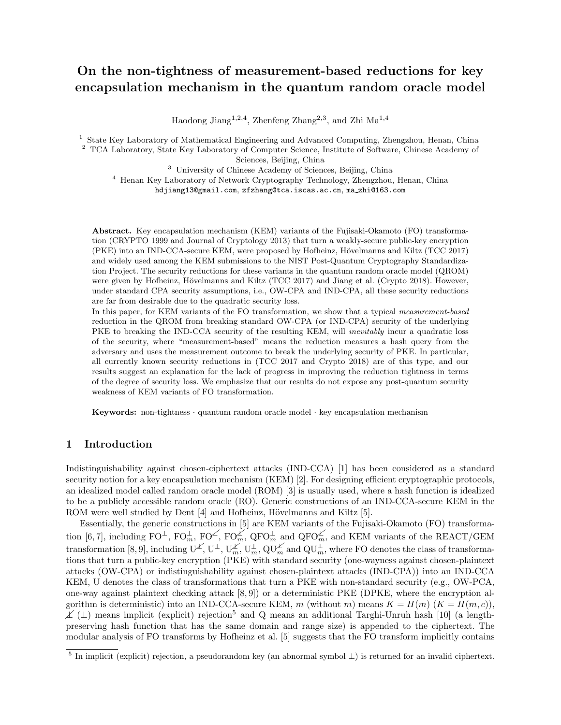# On the non-tightness of measurement-based reductions for key encapsulation mechanism in the quantum random oracle model

Haodong Jiang<sup>1,2,4</sup>, Zhenfeng Zhang<sup>2,3</sup>, and Zhi Ma<sup>1,4</sup>

<sup>1</sup> State Key Laboratory of Mathematical Engineering and Advanced Computing, Zhengzhou, Henan, China <sup>2</sup> TCA Laboratory, State Key Laboratory of Computer Science, Institute of Software, Chinese Academy of

Sciences, Beijing, China

<sup>3</sup> University of Chinese Academy of Sciences, Beijing, China

<sup>4</sup> Henan Key Laboratory of Network Cryptography Technology, Zhengzhou, Henan, China hdjiang13@gmail.com, zfzhang@tca.iscas.ac.cn, ma zhi@163.com

Abstract. Key encapsulation mechanism (KEM) variants of the Fujisaki-Okamoto (FO) transformation (CRYPTO 1999 and Journal of Cryptology 2013) that turn a weakly-secure public-key encryption (PKE) into an IND-CCA-secure KEM, were proposed by Hofheinz, Hövelmanns and Kiltz (TCC 2017) and widely used among the KEM submissions to the NIST Post-Quantum Cryptography Standardization Project. The security reductions for these variants in the quantum random oracle model (QROM) were given by Hofheinz, Hövelmanns and Kiltz (TCC 2017) and Jiang et al. (Crypto 2018). However, under standard CPA security assumptions, i.e., OW-CPA and IND-CPA, all these security reductions are far from desirable due to the quadratic security loss.

In this paper, for KEM variants of the FO transformation, we show that a typical measurement-based reduction in the QROM from breaking standard OW-CPA (or IND-CPA) security of the underlying PKE to breaking the IND-CCA security of the resulting KEM, will inevitably incur a quadratic loss of the security, where "measurement-based" means the reduction measures a hash query from the adversary and uses the measurement outcome to break the underlying security of PKE. In particular, all currently known security reductions in (TCC 2017 and Crypto 2018) are of this type, and our results suggest an explanation for the lack of progress in improving the reduction tightness in terms of the degree of security loss. We emphasize that our results do not expose any post-quantum security weakness of KEM variants of FO transformation.

Keywords: non-tightness · quantum random oracle model · key encapsulation mechanism

# 1 Introduction

Indistinguishability against chosen-ciphertext attacks (IND-CCA) [1] has been considered as a standard security notion for a key encapsulation mechanism (KEM) [2]. For designing efficient cryptographic protocols, an idealized model called random oracle model (ROM) [3] is usually used, where a hash function is idealized to be a publicly accessible random oracle (RO). Generic constructions of an IND-CCA-secure KEM in the ROM were well studied by Dent  $[4]$  and Hofheinz, Hövelmanns and Kiltz  $[5]$ .

 $\angle$  ( $\perp$ ) means implicit (explicit) rejection<sup>5</sup> and Q means an additional Targhi-Unruh hash [10] (a length-Essentially, the generic constructions in [5] are KEM variants of the Fujisaki-Okamoto (FO) transforma- ⊥ m  $, F O^{\angle}$ transformation [8, 9], including  $U^{\perp}$ ,  $U^{\perp}$ ,  $U^{\perp}_{m}$  $\sum_{m=1}^{N}$ , U and QFO $_m^{\not\perp}$ <br>  $_m^{\not\perp}$  and QU $_m^{\perp}$ and QFO $_{m}^{\cancel{\mathcal{L}}}$ ,  $\mathbf{Q}\overline{\mathbf{U}}_m^{\mathcal{L}}$  and  $\mathbf{Q}\mathbf{U}$ tion [6, 7], including  $\text{FO}^{\perp}$ ,  $\text{FO}^{\perp}$ ,  $\text{FO}^{\perp}$ ,  $\text{FO}^{\perp}$ ,  $\text{OG}^{\perp}$ ,  $\text{QFO}^{\perp}$  and  $\text{QFO}^{\perp}$ , and KEM variants of the REACT/GEM transformation [8, 9], including  $\text{U}^{\perp}$ ,  $\text{U}^{\perp}$ , tions that turn a public-key encryption (PKE) with standard security (one-wayness against chosen-plaintext attacks (OW-CPA) or indistinguishability against chosen-plaintext attacks (IND-CPA)) into an IND-CCA KEM, U denotes the class of transformations that turn a PKE with non-standard security (e.g., OW-PCA, one-way against plaintext checking attack  $[8, 9]$ ) or a deterministic PKE (DPKE, where the encryption algorithm is deterministic) into an IND-CCA-secure KEM, m (without m) means  $K = H(m)$   $(K = H(m, c))$ , preserving hash function that has the same domain and range size) is appended to the ciphertext. The modular analysis of FO transforms by Hofheinz et al. [5] suggests that the FO transform implicitly contains

 $\frac{5}{5}$  In implicit (explicit) rejection, a pseudorandom key (an abnormal symbol  $\perp$ ) is returned for an invalid ciphertext.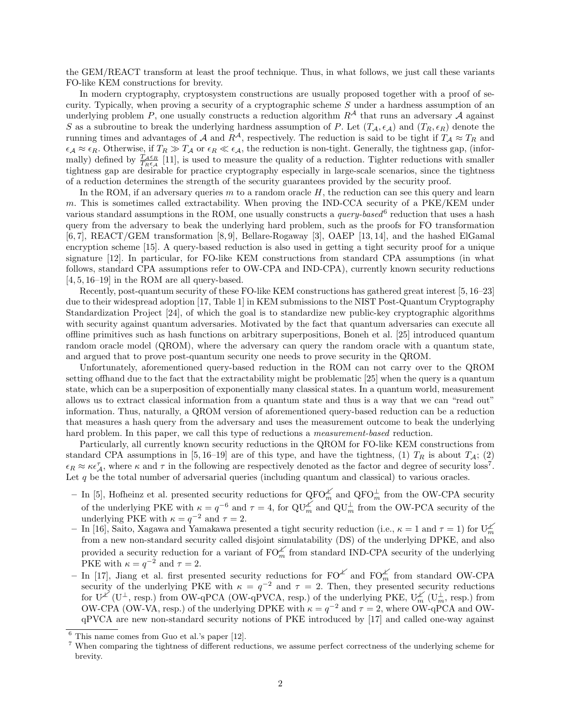the GEM/REACT transform at least the proof technique. Thus, in what follows, we just call these variants FO-like KEM constructions for brevity.

In modern cryptography, cryptosystem constructions are usually proposed together with a proof of security. Typically, when proving a security of a cryptographic scheme S under a hardness assumption of an underlying problem P, one usually constructs a reduction algorithm  $R<sup>A</sup>$  that runs an adversary A against S as a subroutine to break the underlying hardness assumption of P. Let  $(T_A, \epsilon_A)$  and  $(T_R, \epsilon_R)$  denote the running times and advantages of A and  $R^A$ , respectively. The reduction is said to be tight if  $T_A \approx T_R$  and  $\epsilon_A \approx \epsilon_R$ . Otherwise, if  $T_R \gg T_A$  or  $\epsilon_R \ll \epsilon_A$ , the reduction is non-tight. Generally, the tightness gap, (informally) defined by  $\frac{T_{\mathcal{A}} \epsilon_R}{T_{R} \epsilon_A}$  [11], is used to measure the quality of a reduction. Tighter reductions with smaller tightness gap are desirable for practice cryptography especially in large-scale scenarios, since the tightness of a reduction determines the strength of the security guarantees provided by the security proof.

In the ROM, if an adversary queries  $m$  to a random oracle  $H$ , the reduction can see this query and learn m. This is sometimes called extractability. When proving the IND-CCA security of a PKE/KEM under various standard assumptions in the ROM, one usually constructs a *query-based*  $6$  reduction that uses a hash query from the adversary to beak the underlying hard problem, such as the proofs for FO transformation [6, 7], REACT/GEM transformation [8, 9], Bellare-Rogaway [3], OAEP [13, 14], and the hashed ElGamal encryption scheme [15]. A query-based reduction is also used in getting a tight security proof for a unique signature [12]. In particular, for FO-like KEM constructions from standard CPA assumptions (in what follows, standard CPA assumptions refer to OW-CPA and IND-CPA), currently known security reductions [4, 5, 16–19] in the ROM are all query-based.

Recently, post-quantum security of these FO-like KEM constructions has gathered great interest [5, 16–23] due to their widespread adoption [17, Table 1] in KEM submissions to the NIST Post-Quantum Cryptography Standardization Project [24], of which the goal is to standardize new public-key cryptographic algorithms with security against quantum adversaries. Motivated by the fact that quantum adversaries can execute all offline primitives such as hash functions on arbitrary superpositions, Boneh et al. [25] introduced quantum random oracle model (QROM), where the adversary can query the random oracle with a quantum state, and argued that to prove post-quantum security one needs to prove security in the QROM.

Unfortunately, aforementioned query-based reduction in the ROM can not carry over to the QROM setting offhand due to the fact that the extractability might be problematic [25] when the query is a quantum state, which can be a superposition of exponentially many classical states. In a quantum world, measurement allows us to extract classical information from a quantum state and thus is a way that we can "read out" information. Thus, naturally, a QROM version of aforementioned query-based reduction can be a reduction that measures a hash query from the adversary and uses the measurement outcome to beak the underlying hard problem. In this paper, we call this type of reductions a *measurement-based* reduction.

Particularly, all currently known security reductions in the QROM for FO-like KEM constructions from standard CPA assumptions in [5, 16–19] are of this type, and have the tightness, (1)  $T_R$  is about  $T_A$ ; (2)  $\epsilon_R \approx \kappa \epsilon_A^{\tau}$ , where  $\kappa$  and  $\tau$  in the following are respectively denoted as the factor and degree of security loss<sup>7</sup>. Let  $q$  be the total number of adversarial queries (including quantum and classical) to various oracles.

- − In [5], Hofheinz et al. presented security reductions for  $QFO<sub>m</sub><sup>∠</sup>$  and  $QFO<sub>m</sub><sup>⊥</sup>$  from the OW-CPA security of the underlying PKE with  $\kappa = q^{-6}$  and  $\tau = 4$ , for  $\mathbf{Q}\mathbf{U}_m^{\mathbf{Z}}$  and  $\mathbf{Q}\mathbf{U}_m^{\perp}$  from the OW-PCA security of the underlying PKE with  $\kappa = q^{-2}$  and  $\tau = 2$ .
- $-$  In [16], Saito, Xagawa and Yamakawa presented a tight security reduction (i.e.,  $\kappa = 1$  and  $\tau = 1$ ) for  $U_m^{\cancel{\kappa}}$ from a new non-standard security called disjoint simulatability (DS) of the underlying DPKE, and also provided a security reduction for a variant of  $FO_{m}^{\measuredangle}$  from standard IND-CPA security of the underlying PKE with  $\kappa = q^{-2}$  and  $\tau = 2$ .
- $-$  In [17], Jiang et al. first presented security reductions for FO<sup> $\angle$ </sup> and FO $_m^{\angle}$  from standard OW-CPA security of the underlying PKE with  $\kappa = q^{-2}$  and  $\tau = 2$ . Then, they presented security reductions  $\text{Tr} \left( \mathbf{U}^{\perp} \right)$  ( $\mathbf{U}^{\perp}$ , resp.) from OW-qPCA (OW-qPVCA, resp.) of the underlying PKE,  $\mathbf{U}_{m}^{\perp}$  ( $\mathbf{U}_{m}^{\perp}$ , resp.) from OW-CPA (OW-VA, resp.) of the underlying DPKE with  $\kappa = q^{-2}$  and  $\tau = 2$ , where OW-qPCA and OWqPVCA are new non-standard security notions of PKE introduced by [17] and called one-way against

 $6$  This name comes from Guo et al.'s paper [12].

<sup>7</sup> When comparing the tightness of different reductions, we assume perfect correctness of the underlying scheme for brevity.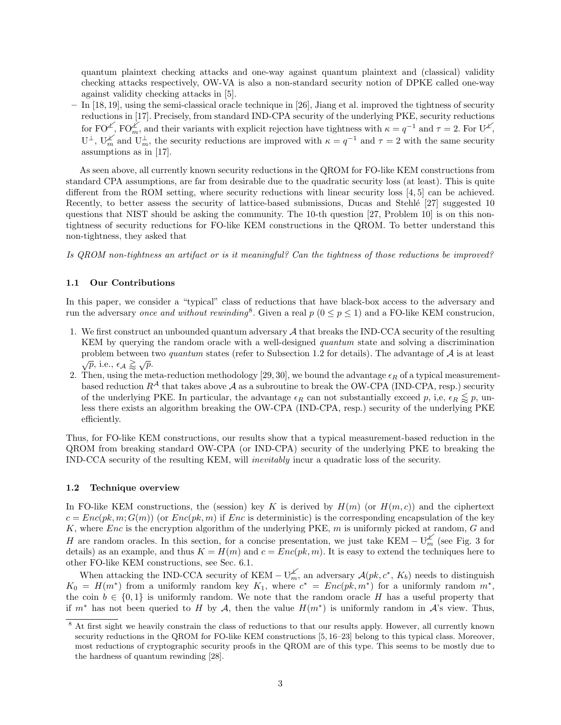quantum plaintext checking attacks and one-way against quantum plaintext and (classical) validity checking attacks respectively, OW-VA is also a non-standard security notion of DPKE called one-way against validity checking attacks in [5].

– In [18, 19], using the semi-classical oracle technique in [26], Jiang et al. improved the tightness of security reductions in [17]. Precisely, from standard IND-CPA security of the underlying PKE, security reductions for  $FO^{\angle}$ ,  $FO^{\angle}$ , and their variants with explicit rejection have tightness with  $\kappa = q^{-1}$  and  $\tau = 2$ . For  $U^{\angle}$ ,  $U^{\perp}$ ,  $U^{\perp}_m$  and  $U^{\perp}_m$ , the security reductions are improved with  $\kappa = q^{-1}$  and  $\tau = 2$  with the same security assumptions as in [17].

As seen above, all currently known security reductions in the QROM for FO-like KEM constructions from standard CPA assumptions, are far from desirable due to the quadratic security loss (at least). This is quite different from the ROM setting, where security reductions with linear security loss [4, 5] can be achieved. Recently, to better assess the security of lattice-based submissions, Ducas and Stehlé [27] suggested 10 questions that NIST should be asking the community. The 10-th question [27, Problem 10] is on this nontightness of security reductions for FO-like KEM constructions in the QROM. To better understand this non-tightness, they asked that

Is QROM non-tightness an artifact or is it meaningful? Can the tightness of those reductions be improved?

## 1.1 Our Contributions

In this paper, we consider a "typical" class of reductions that have black-box access to the adversary and run the adversary once and without rewinding<sup>8</sup>. Given a real  $p (0 \le p \le 1)$  and a FO-like KEM construcion,

- 1. We first construct an unbounded quantum adversary A that breaks the IND-CCA security of the resulting KEM by querying the random oracle with a well-designed *quantum* state and solving a discrimination problem between two *quantum* states (refer to Subsection 1.2 for details). The advantage of  $A$  is at least  $\sqrt{p}$ , i.e.,  $\epsilon_{\mathcal{A}} \gtrapprox \sqrt{p}$ .
- 2. Then, using the meta-reduction methodology [29, 30], we bound the advantage  $\epsilon_R$  of a typical measurementbased reduction  $R^{\mathcal{A}}$  that takes above  $\mathcal{A}$  as a subroutine to break the OW-CPA (IND-CPA, resp.) security of the underlying PKE. In particular, the advantage  $\epsilon_R$  can not substantially exceed p, i,e,  $\epsilon_R \leq p$ , unless there exists an algorithm breaking the OW-CPA (IND-CPA, resp.) security of the underlying PKE efficiently.

Thus, for FO-like KEM constructions, our results show that a typical measurement-based reduction in the QROM from breaking standard OW-CPA (or IND-CPA) security of the underlying PKE to breaking the IND-CCA security of the resulting KEM, will inevitably incur a quadratic loss of the security.

#### 1.2 Technique overview

In FO-like KEM constructions, the (session) key K is derived by  $H(m)$  (or  $H(m, c)$ ) and the ciphertext  $c = Enc(pk, m; G(m))$  (or  $Enc(pk, m)$  if Enc is deterministic) is the corresponding encapsulation of the key K, where  $Enc$  is the encryption algorithm of the underlying PKE,  $m$  is uniformly picked at random,  $G$  and H are random oracles. In this section, for a concise presentation, we just take KEM –  $U_m^{\chi'}$  (see Fig. 3 for details) as an example, and thus  $K = H(m)$  and  $c = Enc(pk, m)$ . It is easy to extend the techniques here to other FO-like KEM constructions, see Sec. 6.1.

When attacking the IND-CCA security of KEM –  $\mathbb{U}_m^{\not\perp}$ , an adversary  $\mathcal{A}(pk, c^*, K_b)$  needs to distinguish  $K_0 = H(m^*)$  from a uniformly random key  $K_1$ , where  $c^* = Enc(pk, m^*)$  for a uniformly random  $m^*$ , the coin  $b \in \{0,1\}$  is uniformly random. We note that the random oracle H has a useful property that if  $m^*$  has not been queried to H by A, then the value  $H(m^*)$  is uniformly random in A's view. Thus,

<sup>&</sup>lt;sup>8</sup> At first sight we heavily constrain the class of reductions to that our results apply. However, all currently known security reductions in the QROM for FO-like KEM constructions [5, 16–23] belong to this typical class. Moreover, most reductions of cryptographic security proofs in the QROM are of this type. This seems to be mostly due to the hardness of quantum rewinding [28].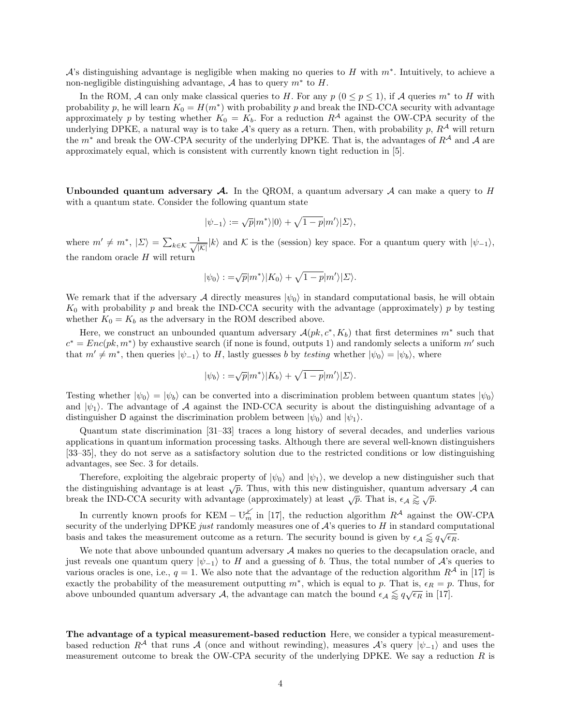A's distinguishing advantage is negligible when making no queries to H with  $m^*$ . Intuitively, to achieve a non-negligible distinguishing advantage,  $A$  has to query  $m^*$  to  $H$ .

In the ROM, A can only make classical queries to H. For any  $p (0 \le p \le 1)$ , if A queries  $m^*$  to H with probability p, he will learn  $K_0 = H(m^*)$  with probability p and break the IND-CCA security with advantage approximately p by testing whether  $K_0 = K_b$ . For a reduction  $R^A$  against the OW-CPA security of the underlying DPKE, a natural way is to take  $A$ 's query as a return. Then, with probability p,  $R^A$  will return the  $m^*$  and break the OW-CPA security of the underlying DPKE. That is, the advantages of  $R^A$  and A are approximately equal, which is consistent with currently known tight reduction in [5].

Unbounded quantum adversary  $\mathcal A$ . In the QROM, a quantum adversary  $\mathcal A$  can make a query to H with a quantum state. Consider the following quantum state

$$
|\psi_{-1}\rangle:=\sqrt{p}|m^*\rangle|0\rangle+\sqrt{1-p}|m'\rangle|\Sigma\rangle,
$$

where  $m' \neq m^*$ ,  $|\Sigma\rangle = \sum_{k \in \mathcal{K}} \frac{1}{\sqrt{|\mathcal{K}|}} |k\rangle$  and  $\mathcal{K}$  is the (session) key space. For a quantum query with  $|\psi_{-1}\rangle$ , the random oracle  $H$  will return

$$
|\psi_0\rangle : = \sqrt{p}|m^*\rangle |K_0\rangle + \sqrt{1-p}|m'\rangle |\Sigma\rangle.
$$

We remark that if the adversary A directly measures  $|\psi_0\rangle$  in standard computational basis, he will obtain  $K_0$  with probability p and break the IND-CCA security with the advantage (approximately) p by testing whether  $K_0 = K_b$  as the adversary in the ROM described above.

Here, we construct an unbounded quantum adversary  $\mathcal{A}(pk, c^*, K_b)$  that first determines  $m^*$  such that  $c^* = Enc(pk, m^*)$  by exhaustive search (if none is found, outputs 1) and randomly selects a uniform m' such that  $m' \neq m^*$ , then queries  $|\psi_{-1}\rangle$  to H, lastly guesses b by testing whether  $|\psi_0\rangle = |\psi_b\rangle$ , where

$$
|\psi_b\rangle := \sqrt{p}|m^*\rangle|K_b\rangle + \sqrt{1-p}|m'\rangle|\Sigma\rangle.
$$

Testing whether  $|\psi_0\rangle = |\psi_b\rangle$  can be converted into a discrimination problem between quantum states  $|\psi_0\rangle$ and  $|\psi_1\rangle$ . The advantage of A against the IND-CCA security is about the distinguishing advantage of a distinguisher D against the discrimination problem between  $|\psi_0\rangle$  and  $|\psi_1\rangle$ .

Quantum state discrimination [31–33] traces a long history of several decades, and underlies various applications in quantum information processing tasks. Although there are several well-known distinguishers [33–35], they do not serve as a satisfactory solution due to the restricted conditions or low distinguishing advantages, see Sec. 3 for details.

Therefore, exploiting the algebraic property of  $|\psi_0\rangle$  and  $|\psi_1\rangle$ , we develop a new distinguisher such that the distinguishing advantage is at least  $\sqrt{p}$ . Thus, with this new distinguisher, quantum adversary A can break the IND-CCA security with advantage (approximately) at least  $\sqrt{p}$ . That is,  $\epsilon_A \gtrsim \sqrt{p}$ .

In currently known proofs for KEM –  $U_m^{\measuredangle}$  in [17], the reduction algorithm  $R^{\measuredangle}$  against the OW-CPA security of the underlying DPKE just randomly measures one of  $A$ 's queries to  $H$  in standard computational basis and takes the measurement outcome as a return. The security bound is given by  $\epsilon_A \lessapprox q \sqrt{\epsilon_R}$ .

We note that above unbounded quantum adversary  $A$  makes no queries to the decapsulation oracle, and just reveals one quantum query  $|\psi_{-1}\rangle$  to H and a guessing of b. Thus, the total number of A's queries to various oracles is one, i.e.,  $q = 1$ . We also note that the advantage of the reduction algorithm  $R<sup>A</sup>$  in [17] is exactly the probability of the measurement outputting  $m^*$ , which is equal to p. That is,  $\epsilon_R = p$ . Thus, for above unbounded quantum adversary A, the advantage can match the bound  $\epsilon_A \lessapprox q \sqrt{\epsilon_R}$  in [17].

The advantage of a typical measurement-based reduction Here, we consider a typical measurementbased reduction  $R^{\mathcal{A}}$  that runs A (once and without rewinding), measures A's query  $|\psi_{-1}\rangle$  and uses the measurement outcome to break the OW-CPA security of the underlying DPKE. We say a reduction  $R$  is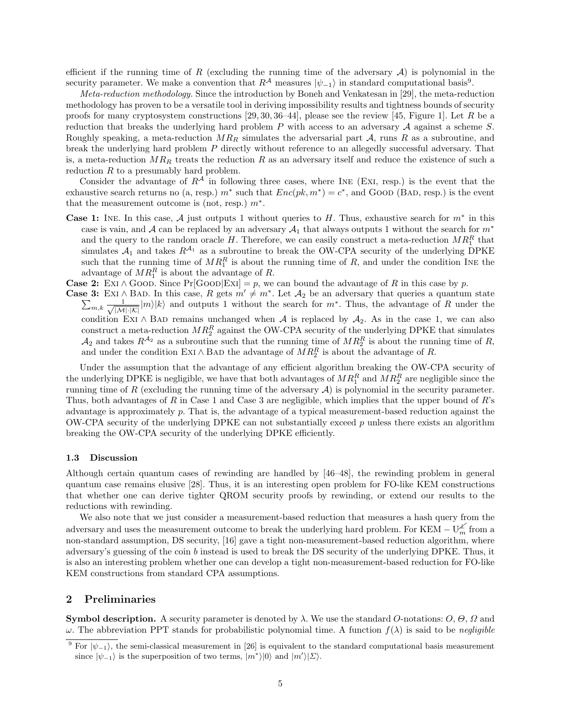efficient if the running time of R (excluding the running time of the adversary  $A$ ) is polynomial in the security parameter. We make a convention that  $R^{\mathcal{A}}$  measures  $|\psi_{-1}\rangle$  in standard computational basis<sup>9</sup>.

Meta-reduction methodology. Since the introduction by Boneh and Venkatesan in [29], the meta-reduction methodology has proven to be a versatile tool in deriving impossibility results and tightness bounds of security proofs for many cryptosystem constructions  $[29, 30, 36-44]$ , please see the review  $[45,$  Figure 1]. Let R be a reduction that breaks the underlying hard problem  $P$  with access to an adversary  $\mathcal A$  against a scheme  $S$ . Roughly speaking, a meta-reduction  $MR_R$  simulates the adversarial part  $A$ , runs R as a subroutine, and break the underlying hard problem P directly without reference to an allegedly successful adversary. That is, a meta-reduction  $MR_R$  treats the reduction R as an adversary itself and reduce the existence of such a reduction  $R$  to a presumably hard problem.

Consider the advantage of  $R^{\mathcal{A}}$  in following three cases, where INE (EXI, resp.) is the event that the exhaustive search returns no (a, resp.)  $m^*$  such that  $Enc(pk, m^*) = c^*$ , and Good (BAD, resp.) is the event that the measurement outcome is (not, resp.)  $m^*$ .

- **Case 1:** INE. In this case,  $\mathcal A$  just outputs 1 without queries to H. Thus, exhaustive search for  $m^*$  in this case is vain, and A can be replaced by an adversary  $A_1$  that always outputs 1 without the search for  $m^*$ and the query to the random oracle H. Therefore, we can easily construct a meta-reduction  $MR_1^R$  that simulates  $A_1$  and takes  $R^{A_1}$  as a subroutine to break the OW-CPA security of the underlying DPKE such that the running time of  $MR_1^R$  is about the running time of R, and under the condition INE the advantage of  $MR_1^R$  is about the advantage of R.
- **Case 2:** EXI ∧ GOOD. Since Pr[GOOD|EXI] = p, we can bound the advantage of R in this case by p.
- **Case 3:** EXI ∧ BAD. In this case, R gets  $m' \neq m^*$ . Let  $\mathcal{A}_2$  be an adversary that queries a quantum state  $\sum_{m,k} \frac{1}{\sqrt{|\mathcal{M}| \cdot |\mathcal{K}|}} |m\rangle |k\rangle$  and outputs 1 without the search for  $m^*$ . Thus, the advantage of R condition EXI ∧ BAD remains unchanged when A is replaced by  $A_2$ . As in the case 1, we can also construct a meta-reduction  $MR_2^R$  against the OW-CPA security of the underlying DPKE that simulates  $\mathcal{A}_2$  and takes  $R^{\mathcal{A}_2}$  as a subroutine such that the running time of  $MR_2^R$  is about the running time of R, and under the condition EXI ∧ BAD the advantage of  $\widetilde{MR}_2^R$  is about the advantage of R.

Under the assumption that the advantage of any efficient algorithm breaking the OW-CPA security of the underlying DPKE is negligible, we have that both advantages of  $MR_1^R$  and  $MR_2^R$  are negligible since the running time of R (excluding the running time of the adversary  $A$ ) is polynomial in the security parameter. Thus, both advantages of R in Case 1 and Case 3 are negligible, which implies that the upper bound of R's advantage is approximately p. That is, the advantage of a typical measurement-based reduction against the OW-CPA security of the underlying DPKE can not substantially exceed  $p$  unless there exists an algorithm breaking the OW-CPA security of the underlying DPKE efficiently.

#### 1.3 Discussion

Although certain quantum cases of rewinding are handled by [46–48], the rewinding problem in general quantum case remains elusive [28]. Thus, it is an interesting open problem for FO-like KEM constructions that whether one can derive tighter QROM security proofs by rewinding, or extend our results to the reductions with rewinding.

We also note that we just consider a measurement-based reduction that measures a hash query from the adversary and uses the measurement outcome to break the underlying hard problem. For KEM –  $U_m^{\measuredangle}$  from a non-standard assumption, DS security, [16] gave a tight non-measurement-based reduction algorithm, where adversary's guessing of the coin b instead is used to break the DS security of the underlying DPKE. Thus, it is also an interesting problem whether one can develop a tight non-measurement-based reduction for FO-like KEM constructions from standard CPA assumptions.

# 2 Preliminaries

**Symbol description.** A security parameter is denoted by  $\lambda$ . We use the standard O-notations:  $O$ ,  $\Theta$ ,  $\Omega$  and  $ω$ . The abbreviation PPT stands for probabilistic polynomial time. A function  $f(λ)$  is said to be *negligible* 

<sup>&</sup>lt;sup>9</sup> For  $|\psi_{-1}\rangle$ , the semi-classical measurement in [26] is equivalent to the standard computational basis measurement since  $|\psi_{-1}\rangle$  is the superposition of two terms,  $|m^*\rangle|0\rangle$  and  $|m^{\prime}\rangle|\Sigma\rangle$ .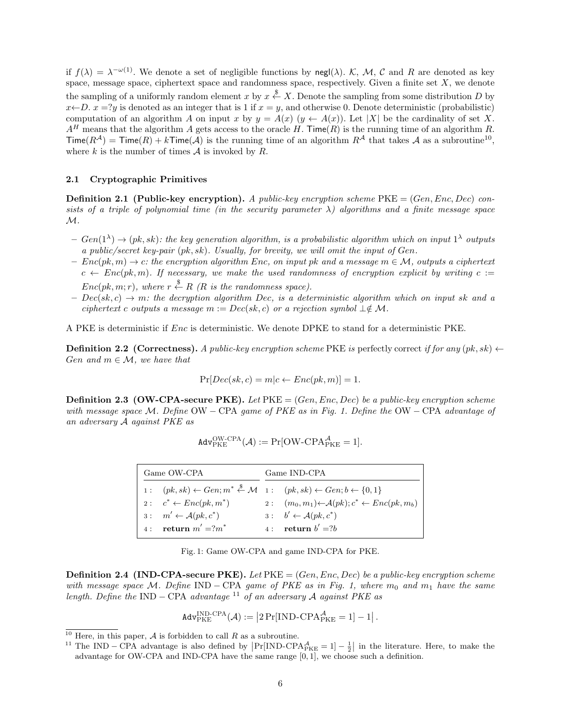if  $f(\lambda) = \lambda^{-\omega(1)}$ . We denote a set of negligible functions by negl( $\lambda$ ). K, M, C and R are denoted as key space, message space, ciphertext space and randomness space, respectively. Given a finite set  $X$ , we denote the sampling of a uniformly random element x by  $x \stackrel{\$}{\leftarrow} X$ . Denote the sampling from some distribution D by  $x \leftarrow D$ .  $x = ?y$  is denoted as an integer that is 1 if  $x = y$ , and otherwise 0. Denote deterministic (probabilistic) computation of an algorithm A on input x by  $y = A(x)$   $(y \leftarrow A(x))$ . Let |X| be the cardinality of set X.  $A<sup>H</sup>$  means that the algorithm A gets access to the oracle H. Time(R) is the running time of an algorithm R.  $\textsf{Time}(R^{\mathcal{A}}) = \textsf{Time}(R) + k\textsf{Time}(\mathcal{A})$  is the running time of an algorithm  $R^{\mathcal{A}}$  that takes  $\mathcal{A}$  as a subroutine<sup>10</sup>, where  $k$  is the number of times  $A$  is invoked by  $R$ .

## 2.1 Cryptographic Primitives

**Definition 2.1 (Public-key encryption).** A public-key encryption scheme  $PKE = (Gen, Enc, Dec)$  consists of a triple of polynomial time (in the security parameter  $\lambda$ ) algorithms and a finite message space  $\mathcal{M}.$ 

- $-Gen(1^{\lambda}) \rightarrow (pk, sk)$ : the key generation algorithm, is a probabilistic algorithm which on input  $1^{\lambda}$  outputs a public/secret key-pair (pk, sk). Usually, for brevity, we will omit the input of Gen.
- $-Enc(pk, m) \rightarrow c$ : the encryption algorithm Enc, on input pk and a message  $m \in \mathcal{M}$ , outputs a ciphertext  $c \leftarrow Enc(pk, m)$ . If necessary, we make the used randomness of encryption explicit by writing  $c :=$  $Enc(pk, m; r)$ , where  $r \stackrel{\$}{\leftarrow} R$  (R is the randomness space).
- $Dec(sk, c) \rightarrow m$ : the decryption algorithm Dec, is a deterministic algorithm which on input sk and a ciphertext c outputs a message  $m := Dec(sk, c)$  or a rejection symbol  $\perp \notin \mathcal{M}$ .

A PKE is deterministic if Enc is deterministic. We denote DPKE to stand for a deterministic PKE.

**Definition 2.2 (Correctness).** A public-key encryption scheme PKE is perfectly correct if for any  $(pk, sk) \leftarrow$ Gen and  $m \in \mathcal{M}$ , we have that

$$
Pr[Dec(sk, c) = m | c \leftarrow Enc(pk, m)] = 1.
$$

**Definition 2.3 (OW-CPA-secure PKE).** Let  $PKE = (Gen, Enc, Dec)$  be a public-key encryption scheme with message space M. Define  $OW - CPA$  game of PKE as in Fig. 1. Define the  $OW - CPA$  advantage of an adversary A against PKE as

$$
\mathtt{Adv}_{\mathrm{PKE}}^{\mathrm{OW-CPA}}(\mathcal{A}):=\Pr[\mathrm{OW-CPA}_{\mathrm{PKE}}^{\mathcal{A}}=1].
$$

| Game OW-CPA |                                         | Game IND-CPA                                                                                                                |
|-------------|-----------------------------------------|-----------------------------------------------------------------------------------------------------------------------------|
|             |                                         | 1: $(pk, sk) \leftarrow Gen; m^* \stackrel{\$}{\leftarrow} \mathcal{M}$ 1: $(pk, sk) \leftarrow Gen; b \leftarrow \{0, 1\}$ |
|             | 2: $c^* \leftarrow Enc(pk, m^*)$        | 2: $(m_0, m_1) \leftarrow \mathcal{A}(pk); c^* \leftarrow Enc(pk, m_b)$                                                     |
|             | $3: m' \leftarrow \mathcal{A}(pk, c^*)$ | $3: b' \leftarrow \mathcal{A}(pk, c^*)$                                                                                     |
|             | 4: return $m' = ?m^*$                   | 4: return $b' = ?b$                                                                                                         |

| Fig. 1: Game OW-CPA and game IND-CPA for PKE. |  |  |  |  |  |  |  |  |  |
|-----------------------------------------------|--|--|--|--|--|--|--|--|--|
|-----------------------------------------------|--|--|--|--|--|--|--|--|--|

**Definition 2.4 (IND-CPA-secure PKE).** Let  $PKE = (Gen, Enc, Dec)$  be a public-key encryption scheme with message space M. Define IND – CPA game of PKE as in Fig. 1, where  $m_0$  and  $m_1$  have the same length. Define the IND – CPA advantage <sup>11</sup> of an adversary A against PKE as

$$
\mathtt{Adv}_{\mathrm{PKE}}^{\mathrm{IND}\text{-}\mathrm{CPA}}(\mathcal{A}):=\left|2\Pr[\mathrm{IND}\text{-}\mathrm{CPA}_{\mathrm{PKE}}^{\mathcal{A}}=1]-1\right|.
$$

<sup>&</sup>lt;sup>10</sup> Here, in this paper,  $\mathcal A$  is forbidden to call  $R$  as a subroutine.

<sup>&</sup>lt;sup>11</sup> The IND – CPA advantage is also defined by  $\Pr[\text{IND-CPA}^{\mathcal{A}}_{PKE} = 1] - \frac{1}{2}$  in the literature. Here, to make the advantage for OW-CPA and IND-CPA have the same range [0, 1], we choose such a definition.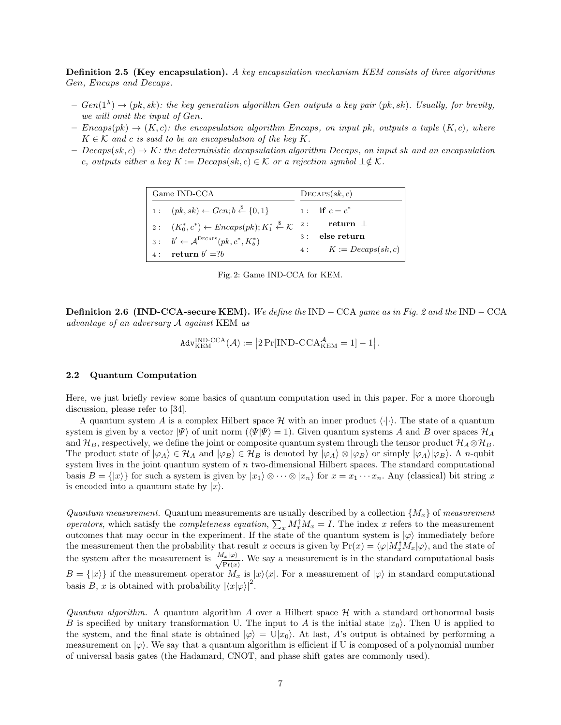Definition 2.5 (Key encapsulation). A key encapsulation mechanism KEM consists of three algorithms Gen, Encaps and Decaps.

- $Gen(1^{\lambda}) \rightarrow (pk, sk)$ : the key generation algorithm Gen outputs a key pair  $(pk, sk)$ . Usually, for brevity, we will omit the input of Gen.
- $-$  Encaps(pk)  $\rightarrow$  (K,c): the encapsulation algorithm Encaps, on input pk, outputs a tuple (K,c), where  $K \in \mathcal{K}$  and c is said to be an encapsulation of the key K.
- $Decaps(sk, c) \rightarrow K$ : the deterministic decapsulation algorithm Decaps, on input sk and an encapsulation c, outputs either a key  $K := Decaps(sk, c) \in K$  or a rejection symbol  $\perp \notin K$ .

| Game IND-CCA |                                                                                           |    | DecAPS(sk, c)           |  |  |
|--------------|-------------------------------------------------------------------------------------------|----|-------------------------|--|--|
|              | 1: $(pk, sk) \leftarrow Gen; b \stackrel{\$}{\leftarrow} \{0, 1\}$                        |    | 1: if $c = c^*$         |  |  |
|              | 2: $(K_0^*, c^*) \leftarrow Encaps(pk); K_1^* \stackrel{\$}{\leftarrow} \mathcal{K}^{-2}$ |    | return $\perp$          |  |  |
|              | $3: b' \leftarrow \mathcal{A}^{\text{Decaps}}(pk, c^*, K_h^*)$                            | 3: | else return             |  |  |
|              | 4: return $b' = ?b$                                                                       |    | 4: $K := Decaps(sk, c)$ |  |  |

Fig. 2: Game IND-CCA for KEM.

**Definition 2.6 (IND-CCA-secure KEM).** We define the IND – CCA game as in Fig. 2 and the IND – CCA advantage of an adversary A against KEM as

$$
\text{Adv}_{\text{KEM}}^{\text{IND-CCA}}(\mathcal{A}) := \left|2\Pr[\text{IND-CCA}_{\text{KEM}}^{\mathcal{A}} = 1] - 1\right|.
$$

#### 2.2 Quantum Computation

Here, we just briefly review some basics of quantum computation used in this paper. For a more thorough discussion, please refer to [34].

A quantum system A is a complex Hilbert space H with an inner product  $\langle \cdot | \cdot \rangle$ . The state of a quantum system is given by a vector  $|\Psi\rangle$  of unit norm  $(\langle \Psi | \Psi \rangle = 1)$ . Given quantum systems A and B over spaces  $\mathcal{H}_A$ and  $\mathcal{H}_B$ , respectively, we define the joint or composite quantum system through the tensor product  $\mathcal{H}_A \otimes \mathcal{H}_B$ . The product state of  $|\varphi_A\rangle \in \mathcal{H}_A$  and  $|\varphi_B\rangle \in \mathcal{H}_B$  is denoted by  $|\varphi_A\rangle \otimes |\varphi_B\rangle$  or simply  $|\varphi_A\rangle |\varphi_B\rangle$ . A *n*-qubit system lives in the joint quantum system of  $n$  two-dimensional Hilbert spaces. The standard computational basis  $B = \{|x\rangle\}$  for such a system is given by  $|x_1\rangle \otimes \cdots \otimes |x_n\rangle$  for  $x = x_1 \cdots x_n$ . Any (classical) bit string x is encoded into a quantum state by  $|x\rangle$ .

Quantum measurement. Quantum measurements are usually described by a collection  $\{M_x\}$  of measurement operators, which satisfy the completeness equation,  $\sum_x M_x^{\dagger} M_x = I$ . The index x refers to the measurement outcomes that may occur in the experiment. If the state of the quantum system is  $|\varphi\rangle$  immediately before the measurement then the probability that result x occurs is given by  $Pr(x) = \langle \varphi | M_x^{\dagger} M_x | \varphi \rangle$ , and the state of the system after the measurement is  $\frac{M_x|\varphi\rangle}{\sqrt{\Pr(x)}}$ . We say a measurement is in the standard computational basis  $B = \{|x\rangle\}$  if the measurement operator  $M_x$  is  $|x\rangle\langle x|$ . For a measurement of  $|\varphi\rangle$  in standard computational basis B, x is obtained with probability  $|\langle x|\varphi\rangle|^2$ .

Quantum algorithm. A quantum algorithm A over a Hilbert space  $\mathcal H$  with a standard orthonormal basis B is specified by unitary transformation U. The input to A is the initial state  $|x_0\rangle$ . Then U is applied to the system, and the final state is obtained  $|\varphi\rangle = U|x_0\rangle$ . At last, A's output is obtained by performing a measurement on  $|\varphi\rangle$ . We say that a quantum algorithm is efficient if U is composed of a polynomial number of universal basis gates (the Hadamard, CNOT, and phase shift gates are commonly used).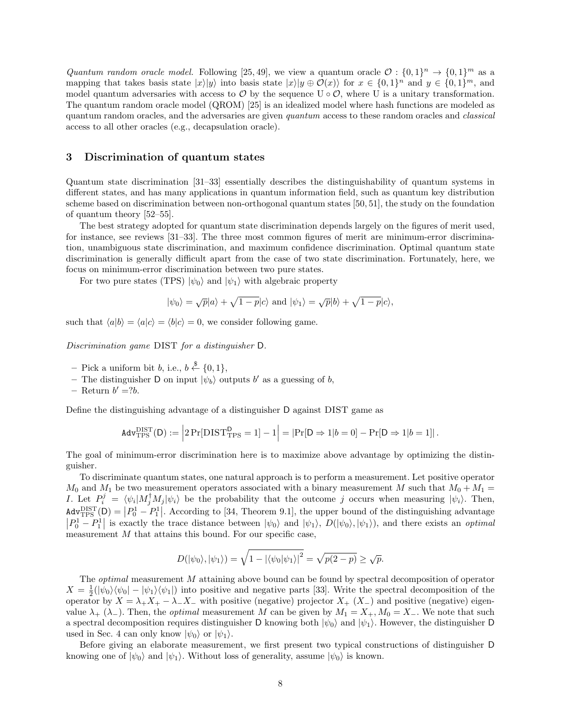Quantum random oracle model. Following [25, 49], we view a quantum oracle  $\mathcal{O}: \{0,1\}^n \to \{0,1\}^m$  as a mapping that takes basis state  $|x\rangle|y\rangle$  into basis state  $|x\rangle|y \oplus \mathcal{O}(x)\rangle$  for  $x \in \{0,1\}^n$  and  $y \in \{0,1\}^m$ , and model quantum adversaries with access to  $\mathcal O$  by the sequence U  $\circ \mathcal O$ , where U is a unitary transformation. The quantum random oracle model (QROM) [25] is an idealized model where hash functions are modeled as quantum random oracles, and the adversaries are given quantum access to these random oracles and *classical* access to all other oracles (e.g., decapsulation oracle).

# 3 Discrimination of quantum states

Quantum state discrimination [31–33] essentially describes the distinguishability of quantum systems in different states, and has many applications in quantum information field, such as quantum key distribution scheme based on discrimination between non-orthogonal quantum states [50, 51], the study on the foundation of quantum theory [52–55].

The best strategy adopted for quantum state discrimination depends largely on the figures of merit used, for instance, see reviews [31–33]. The three most common figures of merit are minimum-error discrimination, unambiguous state discrimination, and maximum confidence discrimination. Optimal quantum state discrimination is generally difficult apart from the case of two state discrimination. Fortunately, here, we focus on minimum-error discrimination between two pure states.

For two pure states (TPS)  $|\psi_0\rangle$  and  $|\psi_1\rangle$  with algebraic property

$$
|\psi_0\rangle = \sqrt{p}|a\rangle + \sqrt{1-p}|c\rangle
$$
 and  $|\psi_1\rangle = \sqrt{p}|b\rangle + \sqrt{1-p}|c\rangle$ ,

such that  $\langle a|b \rangle = \langle a|c \rangle = \langle b|c \rangle = 0$ , we consider following game.

Discrimination game DIST for a distinguisher D.

- $-$  Pick a uniform bit b, i.e.,  $b \stackrel{\$}{\leftarrow} \{0,1\},\$
- The distinguisher D on input  $|\psi_b\rangle$  outputs b' as a guessing of b,
- Return  $b' = ?b$ .

Define the distinguishing advantage of a distinguisher D against DIST game as

$$
\text{Adv}_{\text{TPS}}^{\text{DIST}}(\mathsf{D}) := \left| 2 \Pr[\text{DIST}_{\text{TPS}}^{\mathsf{D}} = 1] - 1 \right| = |\Pr[\mathsf{D} \Rightarrow 1|b = 0] - \Pr[\mathsf{D} \Rightarrow 1|b = 1]|.
$$

The goal of minimum-error discrimination here is to maximize above advantage by optimizing the distinguisher.

 $|P_0^1 - P_1^1|$ To discriminate quantum states, one natural approach is to perform a measurement. Let positive operator  $M_0$  and  $M_1$  be two measurement operators associated with a binary measurement M such that  $M_0 + M_1 = I$ . Let  $P_i^j = \langle \psi_i | M_j^{\dagger} M_j | \psi_i \rangle$  be the probability that the outcome j occurs when measuring  $|\psi_i \rangle$ . Then, . According to [34, Theorem 9.1], the upper bound of the distinguishing advantage I. Let  $P_i^j = \langle \psi_i | M_j^{\dagger} M_j | \psi_i \rangle$  be the probability that the outcome j occurs when measuring  $|\psi_i\rangle$ . Then,  $\text{Adv}_{\text{TPS}}^{\text{DIST}}(\mathsf{D}) = \left| P_0^1 - P_1^1 \right|$  $|P_0^1 - P_1^1|$  is exactly the trace distance between  $|\psi_0\rangle$  and  $|\psi_1\rangle$ ,  $D(|\psi_0\rangle, |\psi_1\rangle)$ , and there exists an *optimal* measurement  $M$  that attains this bound. For our specific case,

$$
D(|\psi_0\rangle, |\psi_1\rangle) = \sqrt{1 - |\langle \psi_0 | \psi_1 \rangle|^2} = \sqrt{p(2 - p)} \ge \sqrt{p}.
$$

The optimal measurement M attaining above bound can be found by spectral decomposition of operator  $X = \frac{1}{2}(|\psi_0\rangle\langle\psi_0| - |\psi_1\rangle\langle\psi_1|)$  into positive and negative parts [33]. Write the spectral decomposition of the operator by  $X = \lambda_+ X_+ - \lambda_- X_-$  with positive (negative) projector  $X_+ (X_-)$  and positive (negative) eigenvalue  $\lambda_+$  ( $\lambda_-$ ). Then, the *optimal* measurement M can be given by  $M_1 = X_+, M_0 = X_-$ . We note that such a spectral decomposition requires distinguisher D knowing both  $|\psi_0\rangle$  and  $|\psi_1\rangle$ . However, the distinguisher D used in Sec. 4 can only know  $|\psi_0\rangle$  or  $|\psi_1\rangle$ .

Before giving an elaborate measurement, we first present two typical constructions of distinguisher D knowing one of  $|\psi_0\rangle$  and  $|\psi_1\rangle$ . Without loss of generality, assume  $|\psi_0\rangle$  is known.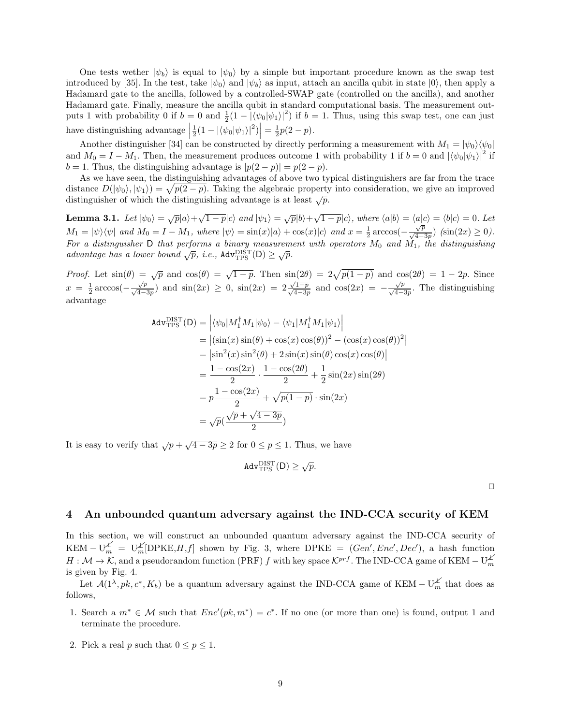One tests wether  $|\psi_b\rangle$  is equal to  $|\psi_0\rangle$  by a simple but important procedure known as the swap test introduced by [35]. In the test, take  $|\psi_0\rangle$  and  $|\psi_b\rangle$  as input, attach an ancilla qubit in state  $|0\rangle$ , then apply a Hadamard gate to the ancilla, followed by a controlled-SWAP gate (controlled on the ancilla), and another Hadamard gate. Finally, measure the ancilla qubit in standard computational basis. The measurement out puts 1 with probability 0 if  $b = 0$  and  $\frac{1}{2}(1 - |\langle \psi_0 | \psi_1 \rangle|^2)$  if  $b = 1$ . Thus, using this swap test, one can just have distinguishing advantage  $\left| \frac{1}{2}(1 - |\langle \psi_0 | \psi_1 \rangle|^2) \right| = \frac{1}{2}p(2 - p)$ .

and  $M_0 = I - M_1$ . Then, the measurement produces outcome 1 with probability 1 if  $b = 0$  and  $|\langle \psi_0 | \psi_1 \rangle|^2$  if Another distinguisher [34] can be constructed by directly performing a measurement with  $M_1 = |\psi_0\rangle \langle \psi_0|$  $b = 1$ . Thus, the distinguishing advantage is  $|p(2 - p)| = p(2 - p)$ .

As we have seen, the distinguishing advantages of above two typical distinguishers are far from the trace distance  $D(|\psi_0\rangle, |\psi_1\rangle) = \sqrt{p(2-p)}$ . Taking the algebraic property into consideration, we give an improved distinguisher of which the distinguishing advantage is at least  $\sqrt{p}$ .

**Lemma 3.1.** Let  $|\psi_0\rangle = \sqrt{p}|a\rangle + \sqrt{1-p}|c\rangle$  and  $|\psi_1\rangle = \sqrt{p}|b\rangle + \sqrt{1-p}|c\rangle$ , where  $\langle a|b\rangle = \langle a|c\rangle = \langle b|c\rangle = 0$ . Let  $M_1 = |\psi\rangle\langle\psi|$  and  $M_0 = I - M_1$ , where  $|\psi\rangle = \sin(x)|a\rangle + \cos(x)|c\rangle$  and  $x = \frac{1}{2}\arccos(-\frac{\sqrt{p}}{\sqrt{4-3p}})$  (sin(2x) ≥ 0). For a distinguisher D that performs a binary measurement with operators  $M_0$  and  $\dot{M_1}$ , the distinguishing advantage has a lower bound  $\sqrt{p}$ , i.e.,  $\text{Adv}^{\text{DIST}}_{\text{TPS}}(D) \geq \sqrt{p}$ .

 $\sqrt{p}$  and  $\cos(\theta) = \sqrt{1-p}$ . Then  $\sin(2\theta) = 2\sqrt{ }$ and  $cos(2x)$ *Proof.* Let  $\sin(\theta) = \sqrt{p}$  and  $\cos(\theta) = \sqrt{1-p}$ . Then  $\sin(2\theta) = 2\sqrt{p(1-p)}$  and  $\cos(2\theta) = 1-2p$ . Since  $x = \frac{1}{2} \arccos(-\frac{\sqrt{p}}{\sqrt{4-3p}})$  and  $\sin(2x) \ge 0$ ,  $\sin(2x) = 2\frac{\sqrt{1-p}}{\sqrt{4-3p}}$  and  $\cos(2x) = -\frac{\sqrt{p}}{\sqrt{4-3p}}$ . The distinguishing advantage

$$
Adv_{TPS}^{DIST}(D) = \left| \langle \psi_0 | M_1^\dagger M_1 | \psi_0 \rangle - \langle \psi_1 | M_1^\dagger M_1 | \psi_1 \rangle \right|
$$
  
\n
$$
= \left| (\sin(x)\sin(\theta) + \cos(x)\cos(\theta))^2 - (\cos(x)\cos(\theta))^2 \right|
$$
  
\n
$$
= \left| \sin^2(x)\sin^2(\theta) + 2\sin(x)\sin(\theta)\cos(x)\cos(\theta) \right|
$$
  
\n
$$
= \frac{1 - \cos(2x)}{2} \cdot \frac{1 - \cos(2\theta)}{2} + \frac{1}{2}\sin(2x)\sin(2\theta)
$$
  
\n
$$
= p \frac{1 - \cos(2x)}{2} + \sqrt{p(1 - p)} \cdot \sin(2x)
$$
  
\n
$$
= \sqrt{p} (\frac{\sqrt{p} + \sqrt{4 - 3p}}{2})
$$

It is easy to verify that  $\sqrt{p} + \sqrt{4 - 3p} \ge 2$  for  $0 \le p \le 1$ . Thus, we have

$$
Adv_{TPS}^{DIST}(D) \geq \sqrt{p}.
$$

 $\Box$ 

## 4 An unbounded quantum adversary against the IND-CCA security of KEM

In this section, we will construct an unbounded quantum adversary against the IND-CCA security of  $KEM - U_m^{\measuredangle} = U_m^{\measuredangle}[\text{DPKE}, H, f]$  shown by Fig. 3, where DPKE =  $(Gen', Enc', Dec')$ , a hash function  $H: \mathcal{M} \to \mathcal{K}$ , and a pseudorandom function (PRF) f with key space  $\mathcal{K}^{prf}$ . The IND-CCA game of KEM –  $U_m^{\mathcal{L}}$ is given by Fig. 4.

Let  $\mathcal{A}(1^{\lambda},pk,c^*,K_b)$  be a quantum adversary against the IND-CCA game of KEM –  $\cup_{m=1}^{\mathcal{L}}$  that does as follows,

- 1. Search a  $m^* \in \mathcal{M}$  such that  $Enc'(pk, m^*) = c^*$ . If no one (or more than one) is found, output 1 and terminate the procedure.
- 2. Pick a real p such that  $0 \le p \le 1$ .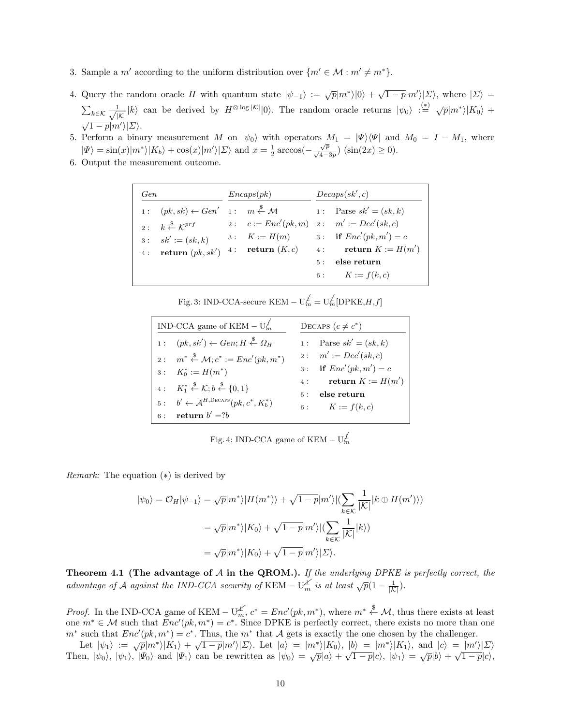- 3. Sample a m' according to the uniform distribution over  $\{m' \in \mathcal{M} : m' \neq m^*\}.$
- 4. Query the random oracle H with quantum state  $|\psi_{-1}\rangle := \sqrt{p}|m^*\rangle|0\rangle + \sqrt{1-p}|m'\rangle|\Sigma\rangle$ , where  $|\Sigma\rangle$  $\sum_{k \in \mathcal{K}} \frac{1}{\sqrt{|\mathcal{K}|}} |k\rangle$  can be derived by  $H^{\otimes \log |\mathcal{K}|} |0\rangle$ . The random oracle returns  $|\psi_0\rangle : \stackrel{(*)}{=} \sqrt{p} |m^*\rangle |K_0\rangle$  +  $\frac{\sqrt{1-p}}{\sqrt{1-p}}$  $\frac{\sqrt{|\mathcal{L}|}}{\sqrt{2}}$ .
- 5. Perform a binary measurement M on  $|\psi_0\rangle$  with operators  $M_1 = |\Psi\rangle\langle\Psi|$  and  $M_0 = I M_1$ , where  $|\Psi\rangle = \sin(x)|m^*\rangle|K_b\rangle + \cos(x)|m'\rangle|\Sigma\rangle$  and  $x = \frac{1}{2}\arccos(-\frac{\sqrt{p}}{\sqrt{4-3p}})(\sin(2x) \ge 0).$
- 6. Output the measurement outcome.

| Gen |                    | Encaps(pk) | Decaps(sk', c) |                                                                                                     |  |
|-----|--------------------|------------|----------------|-----------------------------------------------------------------------------------------------------|--|
|     |                    |            |                | 1: $(pk, sk) \leftarrow Gen'$ 1: $m \stackrel{\$}{\leftarrow} \mathcal{M}$ 1: Parse $sk' = (sk, k)$ |  |
|     |                    |            |                | 2: $k \stackrel{\$}{\leftarrow} \mathcal{K}^{prf}$ 2: $c := Enc'(pk, m)$ 2: $m' := Dec'(sk, c)$     |  |
|     | $3:sk' := (sk, k)$ |            |                | 3: $K := H(m)$ 3: if $Enc'(pk, m') = c$                                                             |  |
|     |                    |            |                | 4: return $(pk, sk')$ 4: return $(K, c)$ 4: return $K := H(m')$                                     |  |
|     |                    |            |                | 5: else return                                                                                      |  |
|     |                    |            |                | 6: $K := f(k, c)$                                                                                   |  |

Fig. 3: IND-CCA-secure KEM −  $\text{U}_m^{\not\perp} = \text{U}_m^{\not\perp}[\text{DPKE}, H, f]$ 

| IND-CCA game of KEM – $U_m^{\neq}$                                                  | DECAPS $(c \neq c^*)$ |                          |  |
|-------------------------------------------------------------------------------------|-----------------------|--------------------------|--|
| $1: (pk, sk') \leftarrow Gen; H \stackrel{\$}{\leftarrow} \Omega_H$                 |                       | 1: Parse $sk' = (sk, k)$ |  |
| 2: $m^* \stackrel{\$}{\leftarrow} \mathcal{M}; c^* := Enc'(pk, m^*)$                |                       | 2: $m' := Dec'(sk, c)$   |  |
| $3: K_0^* := H(m^*)$                                                                |                       | 3: if $Enc'(pk, m') = c$ |  |
| 4: $K_1^* \overset{\$}{\leftarrow} \mathcal{K}; b \overset{\$}{\leftarrow} \{0,1\}$ |                       | 4: return $K := H(m')$   |  |
|                                                                                     |                       | 5: else return           |  |
| 5: $b' \leftarrow A^{H,\text{Decaps}}(pk, c^*, K_b^*)$                              |                       | 6: $K := f(k, c)$        |  |
| 6: return $b' = ?b$                                                                 |                       |                          |  |

Fig. 4: IND-CCA game of KEM –  $U_m^{\neq}$ 

*Remark:* The equation  $(*)$  is derived by

$$
|\psi_0\rangle = \mathcal{O}_H |\psi_{-1}\rangle = \sqrt{p}|m^*\rangle |H(m^*)\rangle + \sqrt{1-p}|m'\rangle |(\sum_{k \in \mathcal{K}} \frac{1}{|\mathcal{K}|} |k \oplus H(m')\rangle)
$$

$$
= \sqrt{p}|m^*\rangle |K_0\rangle + \sqrt{1-p}|m'\rangle |(\sum_{k \in \mathcal{K}} \frac{1}{|\mathcal{K}|} |k\rangle)
$$

$$
= \sqrt{p}|m^*\rangle |K_0\rangle + \sqrt{1-p}|m'\rangle |\Sigma\rangle.
$$

Theorem 4.1 (The advantage of  $A$  in the QROM.). If the underlying DPKE is perfectly correct, the advantage of A against the IND-CCA security of KEM –  $U_m^{\cancel{K}}$  is at least  $\sqrt{p}(1-\frac{1}{|K|})$ .

*Proof.* In the IND-CCA game of KEM –  $\bigcup_{m}^{\mathcal{L}}$ ,  $c^* = Enc'(pk, m^*)$ , where  $m^* \stackrel{\$}{\leftarrow} \mathcal{M}$ , thus there exists at least one  $m^* \in \mathcal{M}$  such that  $Enc'(pk, m^*) = c^*$ . Since DPKE is perfectly correct, there exists no mo one  $m^* \in \mathcal{M}$  such that  $Enc'(pk, m^*) = c^*$ . Since DPKE is perfectly correct, there exists no more than one  $m^*$  such that  $Enc'(pk, m^*) = c^*$ . Thus, the  $m^*$  that A gets is exactly the one chosen by the challenger.

Let  $|\psi_1\rangle := \sqrt{p}|m^*\rangle|K_1\rangle + \sqrt{1-p}|m'\rangle|\Sigma\rangle$ . Let  $|a\rangle = |m^*\rangle|K_0\rangle$ ,  $|b\rangle = |m^*\rangle|K_1\rangle$ , and  $|c\rangle = |m'\rangle|\Sigma\rangle$ .<br>Then,  $|\psi_0\rangle$ ,  $|\psi_1\rangle$ ,  $|\Psi_0\rangle$  and  $|\Psi_1\rangle$  can be rewritten as  $|\psi_0\rangle = \sqrt{p}|a\rangle + \sqrt{1-p}|c\rangle$ ,  $|\psi_1\rangle = \sqrt{p}|b\r$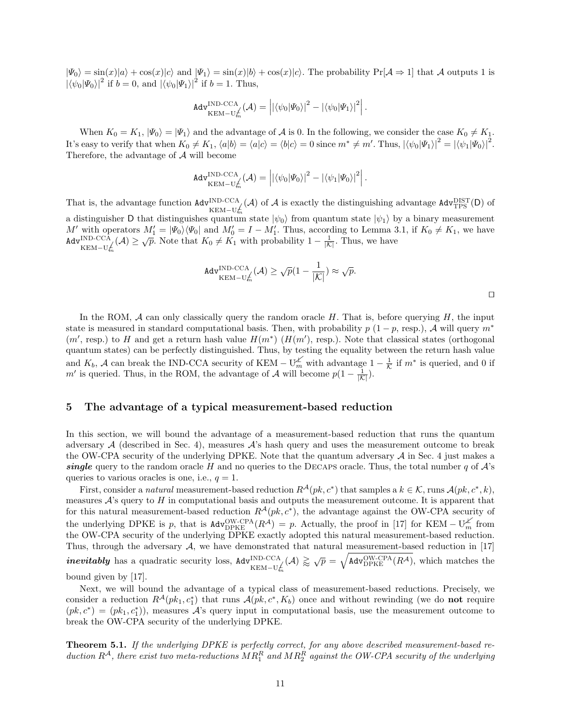$|\Psi_0\rangle = \sin(x)|a\rangle + \cos(x)|c\rangle$  and  $|\Psi_1\rangle = \sin(x)|b\rangle + \cos(x)|c\rangle$ . The probability  $Pr[\mathcal{A} \Rightarrow 1]$  that A outputs 1 is  $|\langle \psi_0|\Psi_0\rangle|^2$  if  $b = 0$ , and  $|\langle \psi_0|\Psi_1\rangle|^2$  if  $b = 1$ . Thus,

$$
\text{Adv}_{\text{KEM}-\text{U}_{m}^{f}}^{\text{IND-CCA}}(\mathcal{A}) = \left| \left| \langle \psi_{0} | \Psi_{0} \rangle \right|^{2} - \left| \langle \psi_{0} | \Psi_{1} \rangle \right|^{2} \right|.
$$

When  $K_0 = K_1$ ,  $|\Psi_0\rangle = |\Psi_1\rangle$  and the advantage of A is 0. In the following, we consider the case  $K_0 \neq K_1$ . It's easy to verify that when  $K_0 \neq K_1$ ,  $\langle a|b \rangle = \langle a|c \rangle = \langle b|c \rangle = 0$  since  $m^* \neq m'$ . Thus,  $|\langle \psi_0|\Psi_1 \rangle|^2 = |\langle \psi_1|\Psi_0 \rangle|^2$ . Therefore, the advantage of A will become

$$
\mathsf{Adv}_{\mathsf{KEM}-\mathsf{U}_{m}^{\mathsf{N}}}\mathsf{D}\text{-}\mathsf{CCA}}^{\mathsf{NLOCA}}(\mathcal{A})=\left|\left|\left\langle\psi_{0}|\varPsi_{0}\right\rangle\right|^{2}-\left|\left\langle\psi_{1}|\varPsi_{0}\right\rangle\right|^{2}\right|.
$$

That is, the advantage function  $\text{Adv}_{\text{KEM}-\text{U}_{m}^{L}}^{IND-CCA}(\mathcal{A})$  of  $\mathcal{A}$  is exactly the distinguishing advantage  $\text{Adv}_{\text{TPS}}^{DIST}(D)$  of a distinguisher D that distinguishes quantum state  $|\psi_0\rangle$  from quantum state  $|\psi_1\rangle$  by a binary measurement M' with operators  $M'_1 = |\Psi_0\rangle\langle\Psi_0|$  and  $M'_0 = I - M'_1$ . Thus, according to Lemma 3.1, if  $K_0 \neq K_1$ , we have  $\text{Ad}v^{\text{IND-CCA}}_{\text{KEM-Um}}(\mathcal{A}) \geq \sqrt{p}$ . Note that  $K_0 \neq K_1$  with probability  $1 - \frac{1}{|\mathcal{K}|}$ . Thus, we have

$$
\text{Adv}_{\text{KEM}-\text{U}_{m}^{\neq}}^{\text{IND-CCA}}(\mathcal{A}) \geq \sqrt{p}(1 - \frac{1}{|\mathcal{K}|}) \approx \sqrt{p}.
$$

In the ROM,  $A$  can only classically query the random oracle  $H$ . That is, before querying  $H$ , the input state is measured in standard computational basis. Then, with probability  $p(1-p, \text{resp.}), \mathcal{A}$  will query  $m^*$  $(m', \text{resp.})$  to H and get a return hash value  $H(m^*)$   $(H(m'), \text{ resp.})$ . Note that classical states (orthogonal quantum states) can be perfectly distinguished. Thus, by testing the equality between the return hash value and  $K_b$ , A can break the IND-CCA security of KEM –  $\bigcup_{m=1}^{\infty}$  with advantage  $1-\frac{1}{\mathcal{K}}$  if  $m^*$  is queried, and 0 if m' is queried. Thus, in the ROM, the advantage of A will become  $p(1 - \frac{1}{|K|})$ .

# 5 The advantage of a typical measurement-based reduction

In this section, we will bound the advantage of a measurement-based reduction that runs the quantum adversary  $A$  (described in Sec. 4), measures  $A$ 's hash query and uses the measurement outcome to break the OW-CPA security of the underlying DPKE. Note that the quantum adversary  $A$  in Sec. 4 just makes a single query to the random oracle H and no queries to the DECAPS oracle. Thus, the total number q of  $\mathcal{A}$ 's queries to various oracles is one, i.e.,  $q = 1$ .

First, consider a *natural* measurement-based reduction  $R^A(pk, c^*)$  that samples a  $k \in \mathcal{K}$ , runs  $A(pk, c^*, k)$ , measures  $A$ 's query to  $H$  in computational basis and outputs the measurement outcome. It is apparent that for this natural measurement-based reduction  $R^{\mathcal{A}}(pk, c^*)$ , the advantage against the OW-CPA security of the underlying DPKE is p, that is  $\text{Adv}_{\text{DFKE}}^{\text{OW-CPA}}(R^{\mathcal{A}}) = p$ . Actually, the proof in [17] for KEM –  $U_m^{\mathcal{A}}$  from the OW-CPA security of the underlying DPKE exactly adopted this natural measurement-based reduction.  $\frac{1}{2}$ *inevitably* has a quadratic security loss,  $\text{Adv}_{\text{KEM}-U_{m}^{f}}^{IND-CCA}(A) \geq \sqrt{p} = \sqrt{\text{Adv}_{\text{DPKE}}^{OW-CPA}(R^{\mathcal{A}})}$ , which matches the Thus, through the adversary  $A$ , we have demonstrated that natural measurement-based reduction in [17] bound given by [17].

Next, we will bound the advantage of a typical class of measurement-based reductions. Precisely, we consider a reduction  $R^{\mathcal{A}}(pk_1, c_1^*)$  that runs  $\mathcal{A}(pk, c^*, K_b)$  once and without rewinding (we do **not** require  $(pk, c^*) = (pk_1, c_1^*)$ ), measures  $\mathcal{A}$ 's query input in computational basis, use the measurement outcome break the OW-CPA security of the underlying DPKE.

Theorem 5.1. If the underlying DPKE is perfectly correct, for any above described measurement-based reduction  $R^{\mathcal{A}}$ , there exist two meta-reductions  $MR_1^R$  and  $MR_2^R$  against the OW-CPA security of the underlying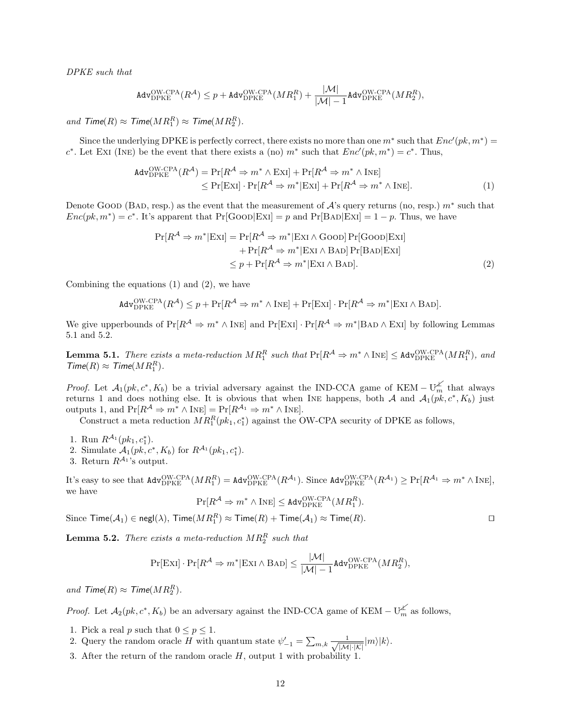DPKE such that

$$
\mathtt{Adv}_{\mathrm{DPKE}}^{\mathrm{OW-CPA}}(R^\mathcal{A}) \leq p + \mathtt{Adv}_{\mathrm{DPKE}}^{\mathrm{OW-CPA}}(MR_1^R) + \frac{|\mathcal{M}|}{|\mathcal{M}|-1} \mathtt{Adv}_{\mathrm{DPKE}}^{\mathrm{OW-CPA}}(MR_2^R),
$$

and  $\mathcal{T}$ ime( $R$ )  $\approx \mathcal{T}$ ime( $MR_1^R$ )  $\approx \mathcal{T}$ ime( $MR_2^R$ ).

Since the underlying DPKE is perfectly correct, there exists no more than one  $m^*$  such that  $Enc'(pk, m^*) =$  $c^*$ . Let EXI (INE) be the event that there exists a (no)  $m^*$  such that  $Enc'(pk, m^*) = c^*$ . Thus,

$$
\begin{aligned} \n\text{Adv}_{\text{DFKE}}^{\text{OW-CPA}}(R^{\mathcal{A}}) &= \Pr[R^{\mathcal{A}} \Rightarrow m^* \wedge \text{ExI}] + \Pr[R^{\mathcal{A}} \Rightarrow m^* \wedge \text{INE}] \\ \n&\le \Pr[\text{ExI}] \cdot \Pr[R^{\mathcal{A}} \Rightarrow m^* | \text{ExI}] + \Pr[R^{\mathcal{A}} \Rightarrow m^* \wedge \text{INE}]. \n\end{aligned} \tag{1}
$$

Denote Good (Bad, resp.) as the event that the measurement of  $\mathcal{A}$ 's query returns (no, resp.)  $m^*$  such that  $Enc(pk, m^*) = c^*$ . It's apparent that  $Pr[Goob]ExI] = p$  and  $Pr[BAD]ExI] = 1 - p$ . Thus, we have

$$
Pr[R^{A} \Rightarrow m^{*}|ExI] = Pr[R^{A} \Rightarrow m^{*}|ExI \land GoOD] Pr[GoOD|ExI] + Pr[R^{A} \Rightarrow m^{*}|ExI \land BAD] Pr[BAD|ExI] \leq p + Pr[R^{A} \Rightarrow m^{*}|ExI \land BAD].
$$
 (2)

Combining the equations (1) and (2), we have

$$
\mathsf{Adv}_{\mathsf{DPKE}}^{\mathsf{OW-CPA}}(R^{\mathcal{A}}) \leq p + \Pr[R^{\mathcal{A}} \Rightarrow m^* \land \mathsf{INE}] + \Pr[\mathsf{ExI}] \cdot \Pr[R^{\mathcal{A}} \Rightarrow m^* | \mathsf{ExI} \land \mathsf{BAD}].
$$

We give upperbounds of  $Pr[R^{\mathcal{A}} \Rightarrow m^* \wedge INE]$  and  $Pr[ExI] \cdot Pr[R^{\mathcal{A}} \Rightarrow m^* | BAD \wedge ExI]$  by following Lemmas 5.1 and 5.2.

**Lemma 5.1.** There exists a meta-reduction  $MR_1^R$  such that  $Pr[R^{\mathcal{A}} \Rightarrow m^* \wedge INE] \leq \text{Adv}_{DPKE}^{OW-CPA}(MR_1^R)$ , and  $\text{Time}(R) \approx \text{Time}(MR_1^R).$ 

*Proof.* Let  $\mathcal{A}_1(pk, c^*, K_b)$  be a trivial adversary against the IND-CCA game of KEM –  $\bigcup_{m=1}^{\infty}$  that always returns 1 and does nothing else. It is obvious that when INE happens, both A and  $\mathcal{A}_1(pk, c^*, K_b)$  just outputs 1, and  $Pr[R^{\mathcal{A}} \Rightarrow m^* \wedge I_{NE}] = Pr[R^{\mathcal{A}_1} \Rightarrow m^* \wedge I_{NE}].$ 

Construct a meta reduction  $MR_1^R(pk_1, c_1^*)$  against the OW-CPA security of DPKE as follows,

- 
- 1. Run  $R^{A_1}(pk_1, c_1^*)$ .<br>
2. Simulate  $A_1(pk, c^*, K_b)$  for  $R^{A_1}(pk_1, c_1^*)$ .
- 3. Return  $R^{\mathcal{A}_1}$ 's output.

It's easy to see that  $\text{Adv}_{\text{DPKE}}^{\text{OW-CPA}}(MR_1^R) = \text{Adv}_{\text{DPKE}}^{\text{OW-CPA}}(R^{\mathcal{A}_1})$ . Since  $\text{Adv}_{\text{DPKE}}^{\text{OW-CPA}}(R^{\mathcal{A}_1}) \geq \Pr[R^{\mathcal{A}_1} \Rightarrow m^* \wedge \text{INE}],$ we have

$$
\Pr[R^{\mathcal{A}} \Rightarrow m^* \wedge \text{Ine}] \leq \text{Adv}_{\text{DPKE}}^{\text{OW-CPA}}(MR_1^R).
$$

Since  $\mathsf{Time}(\mathcal{A}_1) \in \mathsf{negl}(\lambda)$ ,  $\mathsf{Time}(MR_1^R) \approx \mathsf{Time}(R) + \mathsf{Time}(\mathcal{A}_1) \approx \mathsf{Time}(R)$ .

**Lemma 5.2.** There exists a meta-reduction  $MR_2^R$  such that

$$
\Pr[\text{ExI}] \cdot \Pr[R^{\mathcal{A}} \Rightarrow m^*|\text{ExI} \land \text{BAD}] \le \frac{|\mathcal{M}|}{|\mathcal{M}|-1} \text{Adv}_{\text{DPKE}}^{\text{OW-CPA}}(MR_2^R),
$$

and  $\mathcal{T}$ ime $(R) \approx \mathcal{T}$ ime $(MR_2^R)$ .

*Proof.* Let  $\mathcal{A}_2(pk, c^*, K_b)$  be an adversary against the IND-CCA game of KEM –  $\bigcup_{m=1}^{\infty}$  as follows,

- 1. Pick a real p such that  $0 \le p \le 1$ .
- 2. Query the random oracle H with quantum state  $\psi'_{-1} = \sum_{m,k} \frac{1}{\sqrt{|\mathcal{M}| \cdot |\mathcal{K}|}} |m\rangle |k\rangle$ .
- 3. After the return of the random oracle  $H$ , output 1 with probability 1.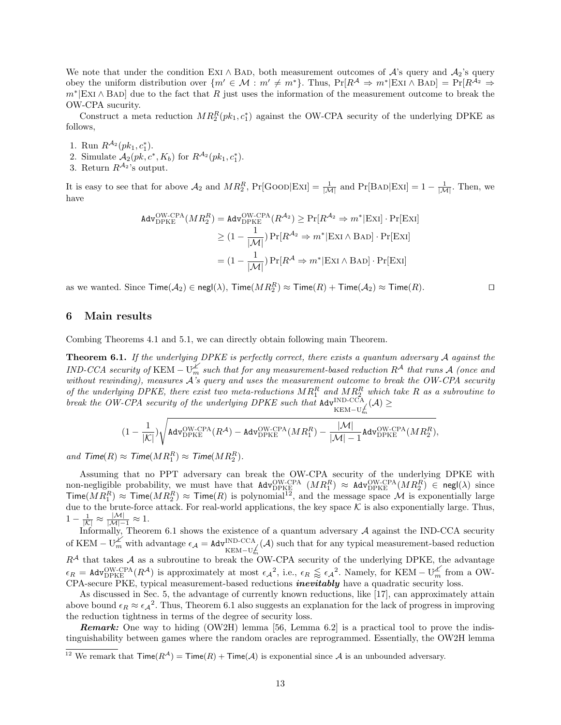We note that under the condition EXI ∧ BAD, both measurement outcomes of A's query and A<sub>2</sub>'s query obey the uniform distribution over  $\{m' \in \mathcal{M} : m' \neq m^*\}$ . Thus,  $\Pr[R^{\mathcal{A}} \Rightarrow m^*|\text{EXI} \wedge \text{BAD}] = \Pr[R^{\mathcal{A}_2} \Rightarrow$  $m*|Ex \wedge BAD|$  due to the fact that R just uses the information of the measurement outcome to break the OW-CPA sucurity.

Construct a meta reduction  $MR_2^R(pk_1, c_1^*)$  against the OW-CPA security of the underlying DPKE as follows,

- 
- 1. Run  $R^{A_2}(pk_1, c_1^*)$ .<br>
2. Simulate  $A_2(pk, c^*, K_b)$  for  $R^{A_2}(pk_1, c_1^*)$ .
- 3. Return  $R^{\mathcal{A}_2}$ 's output.

It is easy to see that for above  $\mathcal{A}_2$  and  $MR_2^R$ , Pr[GOOD|EXI] =  $\frac{1}{|\mathcal{M}|}$  and Pr[BAD|EXI] =  $1 - \frac{1}{|\mathcal{M}|}$ . Then, we have

$$
Adv_{\text{DPKE}}^{\text{OW-CPA}}(MR_2^R) = Adv_{\text{DPKE}}^{\text{OW-CPA}}(R^{\mathcal{A}_2}) \ge \Pr[R^{\mathcal{A}_2} \Rightarrow m^*|\text{ExI}] \cdot \Pr[\text{ExI}]
$$

$$
\ge (1 - \frac{1}{|\mathcal{M}|}) \Pr[R^{\mathcal{A}_2} \Rightarrow m^*|\text{ExI} \wedge \text{BAD}] \cdot \Pr[\text{ExI}]
$$

$$
= (1 - \frac{1}{|\mathcal{M}|}) \Pr[R^{\mathcal{A}} \Rightarrow m^*|\text{ExI} \wedge \text{BAD}] \cdot \Pr[\text{ExI}]
$$

as we wanted. Since  $\mathsf{Time}(\mathcal{A}_2) \in \mathsf{negl}(\lambda)$ ,  $\mathsf{Time}(MR_2^R) \approx \mathsf{Time}(R) + \mathsf{Time}(\mathcal{A}_2) \approx \mathsf{Time}(R)$ .

# 6 Main results

Combing Theorems 4.1 and 5.1, we can directly obtain following main Theorem.

**Theorem 6.1.** If the underlying DPKE is perfectly correct, there exists a quantum adversary  $A$  against the IND-CCA security of KEM –  $U_m^{\nleq}$  such that for any measurement-based reduction  $R^{\mathcal{A}}$  that runs  $\mathcal{A}$  (once and without rewinding), measures  $A$ 's query and uses the measurement outcome to break the OW-CPA security of the underlying DPKE, there exist two meta-reductions  $MR_1^R$  and  $MR_2^R$  which take R as a subroutine to break the OW-CPA security of the underlying DPKE such that  $\text{Adv}^{\text{IND-CCA}}_{\text{KEM-U}}(\mathcal{A}) \ge$ <br>1

$$
(1-\frac{1}{|\mathcal{K}|})\sqrt{{\rm{Adv}}_{{\rm{DPKE}}}^{{\rm{OW-CPA}}}(R^\mathcal{A})-{\rm{Adv}}_{{\rm{DPKE}}}^{{\rm{OW-CPA}}}(MR_1^R)-\frac{|\mathcal{M}|}{|\mathcal{M}|-1}{\rm{Adv}}_{{\rm{DPKE}}}^{{\rm{OW-CPA}}}(MR_2^R),
$$

and  $\mathcal{T}$ ime( $R$ )  $\approx \mathcal{T}$ ime( $MR_1^R$ )  $\approx \mathcal{T}$ ime( $MR_2^R$ ).

Assuming that no PPT adversary can break the OW-CPA security of the underlying DPKE with non-negligible probability, we must have that  $\text{Adv}_{\text{DFKE}}^{\text{OW-CPA}} (MR_1^R) \approx \text{Adv}_{\text{DFKE}}^{\text{OW-CPA}} (MR_2^R) \in \text{negl}(\lambda)$  since Time( $MR_1^R$ )  $\approx$  Time( $MR_2^R$ )  $\approx$  Time(R) is polynomial<sup>12</sup>, and the message space M is exponentially large due to the brute-force attack. For real-world applications, the key space  $K$  is also exponentially large. Thus,  $1 - \frac{1}{|\mathcal{K}|} \approx \frac{|\mathcal{M}|}{|\mathcal{M}| - 1} \approx 1.$ 

Informally, Theorem 6.1 shows the existence of a quantum adversary  $A$  against the IND-CCA security of KEM –  $U_m^{\chi'}$  with advantage  $\epsilon_{\mathcal{A}} = \text{Adv}_{\text{KEM}-U_m^{\chi'}}^{\text{IND-CCA}}(\mathcal{A})$  such that for any typical measurement-based reduction  $R^{\mathcal{A}}$  that takes  $\mathcal{A}$  as a subroutine to break the OW-CPA security of the underlying DPKE, the advantage  $\epsilon_R = \text{Adv}_{\text{DFKE}}^{\text{OW-CPA}}(R^{\mathcal{A}})$  is approximately at most  $\epsilon_{\mathcal{A}}^2$ , i.e.,  $\epsilon_R \lessapprox \epsilon_{\mathcal{A}}^2$ . Namely, for KEM –  $U_m^{\mathcal{A}}$  from a OW-CPA-secure PKE, typical measurement-based reductions *inevitably* have a quadratic security loss.

As discussed in Sec. 5, the advantage of currently known reductions, like [17], can approximately attain above bound  $\epsilon_R \approx \epsilon_A^2$ . Thus, Theorem 6.1 also suggests an explanation for the lack of progress in improving the reduction tightness in terms of the degree of security loss.

**Remark:** One way to hiding (OW2H) lemma [56, Lemma 6.2] is a practical tool to prove the indistinguishability between games where the random oracles are reprogrammed. Essentially, the OW2H lemma

<sup>&</sup>lt;sup>12</sup> We remark that  $\textsf{Time}(R^{\mathcal{A}}) = \textsf{Time}(R) + \textsf{Time}(\mathcal{A})$  is exponential since  $\mathcal{A}$  is an unbounded adversary.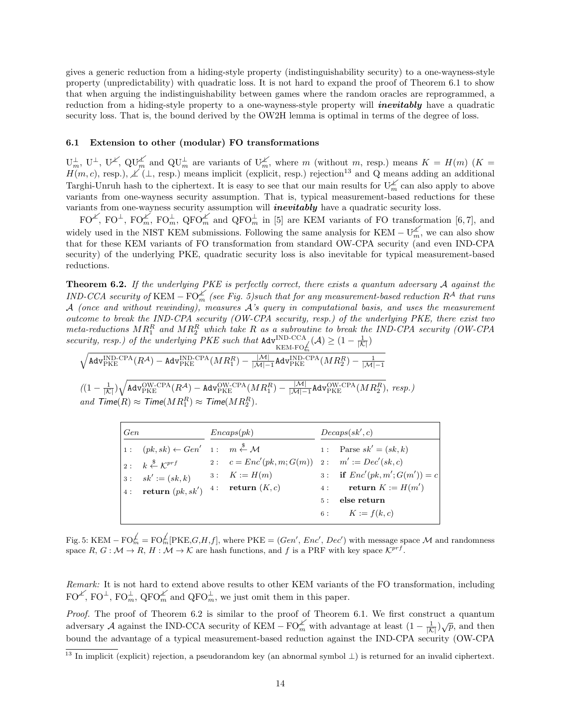gives a generic reduction from a hiding-style property (indistinguishability security) to a one-wayness-style property (unpredictability) with quadratic loss. It is not hard to expand the proof of Theorem 6.1 to show that when arguing the indistinguishability between games where the random oracles are reprogrammed, a reduction from a hiding-style property to a one-wayness-style property will *inevitably* have a quadratic security loss. That is, the bound derived by the OW2H lemma is optimal in terms of the degree of loss.

## 6.1 Extension to other (modular) FO transformations

 $\mathbf{U}_m^{\perp}, \mathbf{U}^{\perp}, \mathbf{U}^{\neq}, \mathbf{Q}\mathbf{U}_m^{\neq}$  and  $\mathbf{Q}\mathbf{U}_m^{\perp}$  are variants of  $\mathbf{U}_m^{\neq}$ , where m (without m, resp.) means  $K = H(m)$  ( $K = H(m, c)$ , resp.),  $\neq (\perp, \text{resp.})$  means implicit (explicit, resp.) r Targhi-Unruh hash to the ciphertext. It is easy to see that our main results for  $U_m^{\measuredangle}$  can also apply to above variants from one-wayness security assumption. That is, typical measurement-based reductions for these variants from one-wayness security assumption will *inevitably* have a quadratic security loss.

 $\overline{FO^{\perp}}$ ,  $\overline{FO^{\perp}}$ ,  $\overline{FO_{m}^{\perp}}$ ,  $\overline{QFO_{m}^{\perp}}$  and  $\overline{QFO_{m}^{\perp}}$  in [5] are KEM variants of FO transformation [6,7], and widely used in the NIST KEM submissions. Following the same analysis for KEM –  $U_m^{\not\perp}$ , we can also show that for these KEM variants of FO transformation from standard OW-CPA security (and even IND-CPA security) of the underlying PKE, quadratic security loss is also inevitable for typical measurement-based reductions.

**Theorem 6.2.** If the underlying PKE is perfectly correct, there exists a quantum adversary  $\mathcal A$  against the  $IND-CCA$  security of KEM –  $FO^{\measuredangle}_{m}$  (see Fig. 5)such that for any measurement-based reduction  $R^{\cal{A}}$  that runs  $\mathcal A$  (once and without rewinding), measures  $\mathcal A$ 's query in computational basis, and uses the measurement outcome to break the IND-CPA security (OW-CPA security, resp.) of the underlying PKE, there exist two meta-reductions  $MR_1^R$  and  $MR_2^R$  which take R as a subroutine to break the IND-CPA security (OW-CPA security, resp.) of the underlying PKE such that  $\text{Adv}^{\text{IND-CCA}}_{\text{KEM-FO}_{\text{m}}}(\mathcal{A}) \geq (1 - \frac{1}{|\mathcal{K}|})$ 

 $\sqrt{{\mathsf{Adv}}_{{\rm PKE}}^{{\rm IND}\text{-}{\rm CPA}}(R^\mathcal{A})-{\mathsf{Adv}}_{{\rm PKE}}^{{\rm IND}\text{-}{\rm CPA}}(MR_1^R)-\frac{|\mathcal{M}|}{|\mathcal{M}|-1}{\mathsf{Adv}}_{{\rm PKE}}^{{\rm IND}\text{-}{\rm CPA}}(MR_2^R)-\frac{1}{|\mathcal{M}|-1}$ 

 $\frac{1}{2}$ and  $\mathcal{T}$ ime $(R) \approx \mathcal{T}$ ime $(MR)$  $\frac{1}{|M|}(\left(1-\frac{1}{|K|}\right)\sqrt{{\mathsf{Adv}}_{{\rm PKE}}^{{\rm OW-CPA}}(R^{\mathcal{A}})-{\mathsf{Adv}}_{{\rm PKE}}^{{\rm OW-CPA}}(MR_1^R)-\frac{|{\mathcal{M}}|}{|{\mathcal{M}}|-1}}$  $R \geq T$ ime( M R $R$  ${\mathsf{Adv}}_{{\text{PKE}}}^{{\mathsf{OW}\text{-}\mathsf{CPA}}}(R^\mathcal{A})-{\mathsf{Adv}}_{{\text{PKE}}}^{{\mathsf{OW}\text{-}\mathsf{CPA}}}$  $_1^R$ )  $\approx$  Time( $MR_2^R$ ).  $(MR_1^R) - \frac{|M|}{|M|-1}$ Adv $_{\rm PKE}^{\rm OW-CPA} (MR_2^R),~resp.)$ 

| Gen |                                                                            | Encaps(pk) |                                                   |  | Decaps(sk', c)                  |  |  |
|-----|----------------------------------------------------------------------------|------------|---------------------------------------------------|--|---------------------------------|--|--|
|     | 1: $(pk, sk) \leftarrow Gen'$ 1: $m \stackrel{\$}{\leftarrow} \mathcal{M}$ |            |                                                   |  | 1: Parse $sk' = (sk, k)$        |  |  |
|     | $\vert 2: k \overset{\$}{\leftarrow} \mathcal{K}^{prf}$                    |            | 2: $c = Enc'(pk, m; G(m))$ 2: $m' := Dec'(sk, c)$ |  |                                 |  |  |
|     | 3 : $sk' := (sk, k)$                                                       |            | 3: $K := H(m)$                                    |  | 3: if $Enc'(pk, m'; G(m')) = c$ |  |  |
|     | 4: <b>return</b> $(pk, sk')$ 4: <b>return</b> $(K, c)$                     |            |                                                   |  | 4: return $K := H(m')$          |  |  |
|     |                                                                            |            |                                                   |  | 5: else return                  |  |  |
|     |                                                                            |            |                                                   |  | 6: $K := f(k, c)$               |  |  |

Fig. 5: KEM –  $\text{FO}_{m}^{\neq} = \text{FO}_{m}^{\neq}[\text{PKE}, G, H, f]$ , where  $\text{PKE} = (Gen', Enc', Dec')$  with message space M and randomness space  $R, G : \mathcal{M} \to \mathbb{R}, H : \mathcal{M} \to \mathcal{K}$  are hash functions, and f is a PRF with key space  $\mathcal{K}^{prf}$ .

Remark: It is not hard to extend above results to other KEM variants of the FO transformation, including  $\mathrm{FO}^{\neq}$ ,  $\mathrm{FO}^{\perp}$ ,  $\mathrm{FO}_{m}^{\perp}$ ,  $\mathrm{QFO}_{m}^{\neq}$  and  $\mathrm{QFO}_{m}^{\perp}$ , we just omit them in this paper.

adversary A against the IND-CCA security of KEM –  $FO_m^{\cancel{L}}$  with advantage at least  $(1 - \frac{1}{|\mathcal{K}|})\sqrt{p}$ , and then Proof. The proof of Theorem 6.2 is similar to the proof of Theorem 6.1. We first construct a quantum bound the advantage of a typical measurement-based reduction against the IND-CPA security (OW-CPA

 $\frac{13}{13}$  In implicit (explicit) rejection, a pseudorandom key (an abnormal symbol  $\perp$ ) is returned for an invalid ciphertext.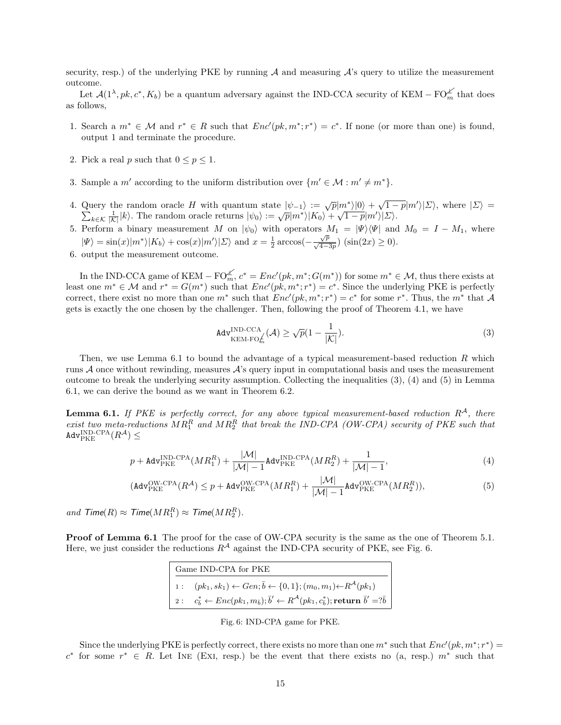security, resp.) of the underlying PKE by running  $A$  and measuring  $A$ 's query to utilize the measurement outcome.

Let  $\mathcal{A}(1^{\lambda},pk,c^*,K_b)$  be a quantum adversary against the IND-CCA security of KEM – FO $_m^{\mathcal{L}}$  that does as follows,

- 1. Search a  $m^* \in \mathcal{M}$  and  $r^* \in R$  such that  $Enc'(pk, m^*; r^*) = c^*$ . If none (or more than one) is found, output 1 and terminate the procedure.
- 2. Pick a real  $p$  such that  $0\leq p\leq 1.$
- 3. Sample a m' according to the uniform distribution over  $\{m' \in \mathcal{M} : m' \neq m^*\}.$
- 4. Query the random oracle H with quantum state  $|\psi_{-1}\rangle := \sqrt{p}|m^*\rangle|0\rangle + \sqrt{1-p}|m^{\prime}|$  $\sum$ iery the random oracle H with quantum state  $|\psi_{-1}\rangle := \sqrt{p}|m^*\rangle|0\rangle + \sqrt{1-p}|m'\rangle|\Sigma\rangle$ , where  $|\Sigma\rangle =$ <br> $k \in \mathcal{K}$   $\frac{1}{|\mathcal{K}|} |k\rangle$ . The random oracle returns  $|\psi_0\rangle := \sqrt{p}|m^*\rangle|K_0\rangle + \sqrt{1-p}|m'\rangle|\Sigma\rangle$ .
- 5. Perform a binary measurement M on  $|\psi_0\rangle$  with operators  $M_1 = |\Psi\rangle\langle\Psi|$  and  $M_0 = I M_1$ , where  $|\Psi\rangle = \sin(x)|m^*\rangle|K_b\rangle + \cos(x)|m'\rangle|\Sigma\rangle$  and  $x = \frac{1}{2}\arccos(-\frac{\sqrt{p}}{\sqrt{4-3p}})(\sin(2x) \ge 0)$ .
- 6. output the measurement outcome.

In the IND-CCA game of KEM – FO<sup>L</sup><sub>m</sub>,  $c^* = Enc'(pk, m^*; G(m^*))$  for some  $m^* \in \mathcal{M}$ , thus there exists at least one  $m^* \in \mathcal{M}$  and  $r^* = G(m^*)$  such that  $Enc'(pk, m^*; r^*) = c^*$ . Since the underlying PKE is perfectly correct, there exist no more than one  $m^*$  such that  $Enc'(pk, m^*; r^*) = c^*$  for some  $r^*$ . Thus, the  $m^*$  that A gets is exactly the one chosen by the challenger. Then, following the proof of Theorem 4.1, we have

$$
\text{Adv}_{\text{KEM-FO}_{m}^{f}}^{\text{IND-CCA}}(\mathcal{A}) \ge \sqrt{p}(1 - \frac{1}{|\mathcal{K}|}).\tag{3}
$$

Then, we use Lemma  $6.1$  to bound the advantage of a typical measurement-based reduction R which runs  $\mathcal A$  once without rewinding, measures  $\mathcal A$ 's query input in computational basis and uses the measurement outcome to break the underlying security assumption. Collecting the inequalities (3), (4) and (5) in Lemma 6.1, we can derive the bound as we want in Theorem 6.2.

**Lemma 6.1.** If PKE is perfectly correct, for any above typical measurement-based reduction  $R^{\mathcal{A}}$ , there exist two meta-reductions  $MR_1^R$  and  $MR_2^R$  that break the IND-CPA (OW-CPA) security of PKE such that  $\mathtt{Adv}_{\mathrm{PKE}}^{\mathrm{IND}\text{-}\mathrm{CPA}}(R^{\mathcal{A}}) \leq$ 

$$
p + \text{Adv}_{\text{PKE}}^{\text{IND-CPA}}(MR_1^R) + \frac{|\mathcal{M}|}{|\mathcal{M}| - 1} \text{Adv}_{\text{PKE}}^{\text{IND-CPA}}(MR_2^R) + \frac{1}{|\mathcal{M}| - 1},\tag{4}
$$

$$
(\text{Adv}_{\text{PKE}}^{\text{OW-CPA}}(R^{\mathcal{A}}) \le p + \text{Adv}_{\text{PKE}}^{\text{OW-CPA}}(MR_1^R) + \frac{|\mathcal{M}|}{|\mathcal{M}| - 1} \text{Adv}_{\text{PKE}}^{\text{OW-CPA}}(MR_2^R)),\tag{5}
$$

and  $\mathcal{T}$ ime( $R$ )  $\approx \mathcal{T}$ ime( $MR_1^R$ )  $\approx \mathcal{T}$ ime( $MR_2^R$ ).

Proof of Lemma 6.1 The proof for the case of OW-CPA security is the same as the one of Theorem 5.1. Here, we just consider the reductions  $R^A$  against the IND-CPA security of PKE, see Fig. 6.

| Game IND-CPA for PKE |                                                                                                                                                                             |  |  |  |  |
|----------------------|-----------------------------------------------------------------------------------------------------------------------------------------------------------------------------|--|--|--|--|
|                      | 1: $(pk_1, sk_1) \leftarrow Gen; \bar{b} \leftarrow \{0, 1\}; (m_0, m_1) \leftarrow R^{\mathcal{A}}(pk_1)$                                                                  |  |  |  |  |
|                      | $ 2: c^*_{\overline{b}} \leftarrow Enc(pk_1, m_{\overline{b}}); \overline{b}' \leftarrow R^{\mathcal{A}}(pk_1, c^*_{\overline{b}});$ return $\overline{b}' = ?\overline{b}$ |  |  |  |  |

Fig. 6: IND-CPA game for PKE.

Since the underlying PKE is perfectly correct, there exists no more than one  $m^*$  such that  $Enc'(pk, m^*; r^*)$  $c^*$  for some  $r^* \in R$ . Let INE (EXI, resp.) be the event that there exists no (a, resp.)  $m^*$  such that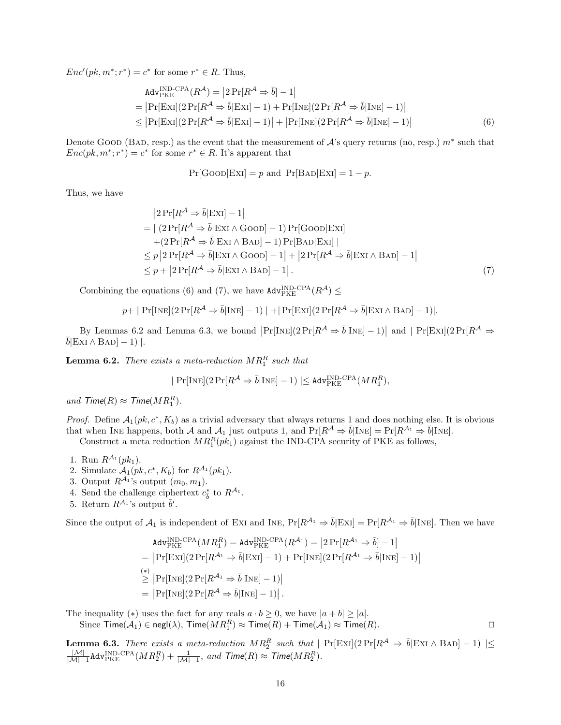$Enc'(pk, m^*; r^*) = c^*$  for some  $r^* \in R$ . Thus,

$$
\begin{aligned}\n\text{Adv}_{\text{PKE}}^{\text{IND-CPA}}(R^{\mathcal{A}}) &= \left| 2 \Pr[R^{\mathcal{A}} \Rightarrow \bar{b}] - 1 \right| \\
&= \left| \Pr[\text{ExI}] (2 \Pr[R^{\mathcal{A}} \Rightarrow \bar{b} | \text{ExI}] - 1) + \Pr[\text{INE}] (2 \Pr[R^{\mathcal{A}} \Rightarrow \bar{b} | \text{INE}] - 1) \right| \\
&\le \left| \Pr[\text{ExI}] (2 \Pr[R^{\mathcal{A}} \Rightarrow \bar{b} | \text{ExI}] - 1) \right| + \left| \Pr[\text{INE}] (2 \Pr[R^{\mathcal{A}} \Rightarrow \bar{b} | \text{INE}] - 1) \right|\n\end{aligned} \tag{6}
$$

Denote GOOD (BAD, resp.) as the event that the measurement of  $\mathcal{A}$ 's query returns (no, resp.)  $m^*$  such that  $Enc(pk, m^*; r^*) = c^*$  for some  $r^* \in R$ . It's apparent that

$$
Pr[GoOD|ExI] = p \text{ and } Pr[BAD|ExI] = 1 - p.
$$

Thus, we have

$$
|2\Pr[R^{\mathcal{A}} \Rightarrow \bar{b}|\operatorname{ExI}] - 1|
$$
  
= | (2\Pr[R^{\mathcal{A}} \Rightarrow \bar{b}|\operatorname{ExI} \land \operatorname{Go}0] - 1) \Pr[\operatorname{Go}0|\operatorname{ExI}]   
+ (2\Pr[R^{\mathcal{A}} \Rightarrow \bar{b}|\operatorname{ExI} \land \operatorname{B}0] - 1) \Pr[\operatorname{B}0|\operatorname{ExI}] |  

$$
\leq p |2\Pr[R^{\mathcal{A}} \Rightarrow \bar{b}|\operatorname{ExI} \land \operatorname{Go}0] - 1 | + |2\Pr[R^{\mathcal{A}} \Rightarrow \bar{b}|\operatorname{ExI} \land \operatorname{B}0] - 1|
$$
  

$$
\leq p + |2\Pr[R^{\mathcal{A}} \Rightarrow \bar{b}|\operatorname{ExI} \land \operatorname{B}0] - 1 |.
$$
 (7)

Combining the equations (6) and (7), we have  $\text{Adv}_{\text{PKE}}^{\text{IND-CPA}}(R^{\mathcal{A}}) \leq$ 

$$
p + | \Pr[\text{Inte}](2\Pr[R^{\mathcal{A}} \Rightarrow \bar{b} | \text{Inte}] - 1) | + | \Pr[\text{ExI}](2\Pr[R^{\mathcal{A}} \Rightarrow \bar{b} | \text{ExI} \land \text{BAD}] - 1) |.
$$

By Lemmas 6.2 and Lemma 6.3, we bound  $\left|\Pr[\text{Inte}](2\Pr[R^{\mathcal{A}} \Rightarrow \bar{b}|\text{Inte}]-1)\right|$  and  $\left|\Pr[\text{Ext}](2\Pr[R^{\mathcal{A}} \Rightarrow \bar{b}|\text{Ext}]-1)\right|$ .

**Lemma 6.2.** There exists a meta-reduction  $MR_1^R$  such that

$$
\mid \Pr[\text{Int}](2\Pr[R^{\mathcal{A}} \Rightarrow \bar{b} | \text{Int}]-1) \mid \leq \texttt{Adv}_{\text{PKE}}^{\text{IND-CPA}}(MR_1^R),
$$

and  $\mathcal{T}$ ime $(R) \approx \mathcal{T}$ ime $(MR_1^R)$ .

*Proof.* Define  $A_1(pk, c^*, K_b)$  as a trivial adversary that always returns 1 and does nothing else. It is obvious that when INE happens, both A and  $A_1$  just outputs 1, and  $Pr[R^A \Rightarrow \bar{b} | \text{INE}] = Pr[R^{A_1} \Rightarrow \bar{b} | \text{INE}]$ .

Construct a meta reduction  $MR_1^R(pk_1)$  against the IND-CPA security of PKE as follows,

- 1. Run  $R^{A_1}(pk_1)$ .
- 2. Simulate  $\mathcal{A}_1(pk, c^*, K_b)$  for  $R^{\mathcal{A}_1}(pk_1)$ .
- 3. Output  $R^{\mathcal{A}_1}$ 's output  $(m_0, m_1)$ .
- 4. Send the challenge ciphertext  $c_{\bar{b}}^*$  to  $R^{\mathcal{A}_1}$ .
- 5. Return  $R^{\mathcal{A}_1}$ 's output  $\bar{b}'$ .

Since the output of  $\mathcal{A}_1$  is independent of EXI and INE,  $Pr[R^{\mathcal{A}_1} \Rightarrow \overline{b}|\text{Ext}] = Pr[R^{\mathcal{A}_1} \Rightarrow \overline{b}|\text{INE}]$ . Then we have

$$
Adv_{PKE}^{IND-CPA}(MR_1^R) = Adv_{PKE}^{IND-CPA}(R^{A_1}) = |2Pr[R^{A_1} \Rightarrow \bar{b}] - 1|
$$
  
=  $|Pr[ExI](2Pr[R^{A_1} \Rightarrow \bar{b}|ExI] - 1) + Pr[INE](2Pr[R^{A_1} \Rightarrow \bar{b}|INE] - 1)|$   
 $\geq |Pr[INE](2Pr[R^{A_1} \Rightarrow \bar{b}|INE] - 1)|$   
=  $|Pr[INE](2Pr[R^{A} \Rightarrow \bar{b}|INE] - 1)|$ .

The inequality (\*) uses the fact for any reals  $a \cdot b \ge 0$ , we have  $|a + b| \ge |a|$ .

Since  $\mathsf{Time}(\mathcal{A}_1) \in \mathsf{negl}(\lambda)$ ,  $\mathsf{Time}(MR_1^R) \approx \mathsf{Time}(R) + \mathsf{Time}(\mathcal{A}_1) \approx \mathsf{Time}(R)$ .

**Lemma 6.3.** There exists a meta-reduction  $MR_2^R$  such that  $| Pr[ExI](2 Pr[R^A \Rightarrow \bar{b}|ExI \wedge BAD] - 1) | \leq$  $\frac{|\mathcal{M}|}{|\mathcal{M}|-1}$ Adv $_{\rm PKE}^{\rm IND\text{-}CPA}(MR_2^R) + \frac{1}{|\mathcal{M}|-1},$  and  $\mathcal{T}$ ime $(R) \approx \mathcal{T}$ ime $(MR_2^R)$ .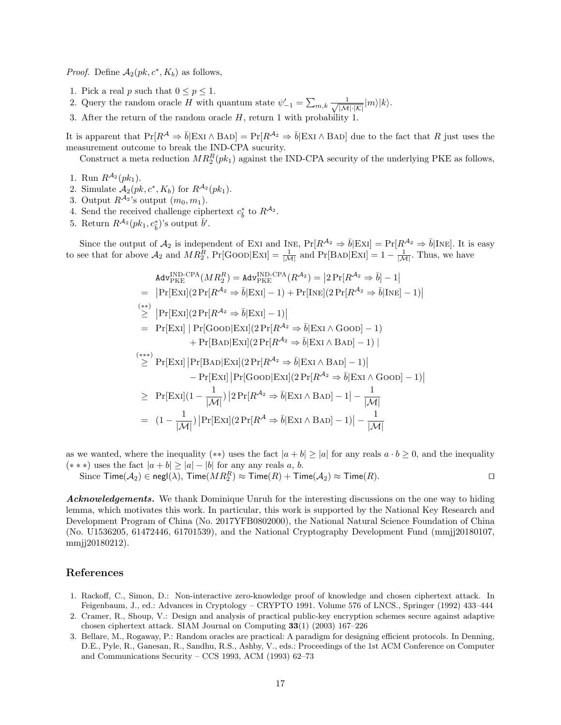*Proof.* Define  $A_2(pk, c^*, K_b)$  as follows,

- 1. Pick a real p such that  $0 \le p \le 1$ .
- 2. Query the random oracle H with quantum state  $\psi'_{-1} = \sum_{m,k} \frac{1}{\sqrt{|\mathcal{M}| \cdot |\mathcal{K}|}} |m\rangle |k\rangle$ .
- 3. After the return of the random oracle H, return 1 with probability 1.

It is apparent that  $Pr[R^{\mathcal{A}} \Rightarrow \bar{b}|\text{ExI} \wedge \text{BAD}] = Pr[R^{\mathcal{A}_2} \Rightarrow \bar{b}|\text{ExI} \wedge \text{BAD}]$  due to the fact that R just uses the measurement outcome to break the IND-CPA sucurity.

Construct a meta reduction  $MR_2^R(pk_1)$  against the IND-CPA security of the underlying PKE as follows,

- 1. Run  $R^{\mathcal{A}_2}(pk_1)$ .
- 2. Simulate  $\mathcal{A}_2(pk, c^*, K_b)$  for  $R^{\mathcal{A}_2}(pk_1)$ .
- 3. Output  $R^{\mathcal{A}_2}$ 's output  $(m_0, m_1)$ .
- 4. Send the received challenge ciphertext  $c_{\bar{b}}^*$  to  $R^{A_2}$ .<br>5. Return  $R^{A_2}(pk_1, c_{\bar{b}}^*)$ 's output  $\bar{b}'$ .
- 

Since the output of  $\mathcal{A}_2$  is independent of Exi and INE,  $Pr[R^{\mathcal{A}_2} \Rightarrow \bar{b}|\text{Ext}] = Pr[R^{\mathcal{A}_2} \Rightarrow \bar{b}|\text{Inte}]$ . It is easy to see that for above  $\mathcal{A}_2$  and  $MR_2^R$ , Pr[GOOD|EXI] =  $\frac{1}{|\mathcal{M}|}$  and Pr[BAD|EXI] =  $1 - \frac{1}{|\mathcal{M}|}$ . Thus, we have

$$
Adv_{PKE}^{IND-CPA}(MR_2^R) = Adv_{PKE}^{IND-CPA}(R^{A_2}) = |2Pr[R^{A_2} \Rightarrow \bar{b}] - 1|
$$
  
\n
$$
= |Pr[Ex1](2Pr[R^{A_2} \Rightarrow \bar{b}|Ex1] - 1) + Pr[INE](2Pr[R^{A_2} \Rightarrow \bar{b}|INE] - 1)|
$$
  
\n
$$
\geq |Pr[Ex1](2Pr[R^{A_2} \Rightarrow \bar{b}|Ex1] - 1)|
$$
  
\n
$$
= Pr[Ex1] |Pr[Goon|Ex1](2Pr[R^{A_2} \Rightarrow \bar{b}|Ex1 \land Goon] - 1)
$$
  
\n
$$
+ Pr[BAD|Ex1](2Pr[R^{A_2} \Rightarrow \bar{b}|Ex1 \land BAD] - 1)|
$$
  
\n
$$
\geq Pr[Ex1] |Pr[BoD|Ex1](2Pr[R^{A_2} \Rightarrow \bar{b}|Ex1 \land BAD] - 1)|
$$
  
\n
$$
- Pr[Ex1] |Pr[Goon|Ex1](2Pr[R^{A_2} \Rightarrow \bar{b}|Ex1 \land Goon] - 1)|
$$
  
\n
$$
\geq Pr[Ex1](1 - \frac{1}{|M|}) |2Pr[R^{A_2} \Rightarrow \bar{b}|Ex1 \land BAD] - 1| - \frac{1}{|M|}
$$
  
\n
$$
= (1 - \frac{1}{|M|}) |Pr[Ex1](2Pr[R^{A} \Rightarrow \bar{b}|Ex1 \land BAD] - 1)| - \frac{1}{|M|}
$$

as we wanted, where the inequality (\*\*) uses the fact  $|a + b| \ge |a|$  for any reals  $a \cdot b \ge 0$ , and the inequality  $(* * *)$  uses the fact  $|a + b| ≥ |a| - |b|$  for any any reals a, b.

Since  $\mathsf{Time}(\mathcal{A}_2) \in \mathsf{negl}(\lambda)$ ,  $\mathsf{Time}(MR_2^R) \approx \mathsf{Time}(R) + \mathsf{Time}(\mathcal{A}_2) \approx \mathsf{Time}(R)$ .

Acknowledgements. We thank Dominique Unruh for the interesting discussions on the one way to hiding lemma, which motivates this work. In particular, this work is supported by the National Key Research and Development Program of China (No. 2017YFB0802000), the National Natural Science Foundation of China (No. U1536205, 61472446, 61701539), and the National Cryptography Development Fund (mmjj20180107, mmjj20180212).

## References

- 1. Rackoff, C., Simon, D.: Non-interactive zero-knowledge proof of knowledge and chosen ciphertext attack. In Feigenbaum, J., ed.: Advances in Cryptology – CRYPTO 1991. Volume 576 of LNCS., Springer (1992) 433–444
- 2. Cramer, R., Shoup, V.: Design and analysis of practical public-key encryption schemes secure against adaptive chosen ciphertext attack. SIAM Journal on Computing 33(1) (2003) 167–226
- 3. Bellare, M., Rogaway, P.: Random oracles are practical: A paradigm for designing efficient protocols. In Denning, D.E., Pyle, R., Ganesan, R., Sandhu, R.S., Ashby, V., eds.: Proceedings of the 1st ACM Conference on Computer and Communications Security – CCS 1993, ACM (1993) 62–73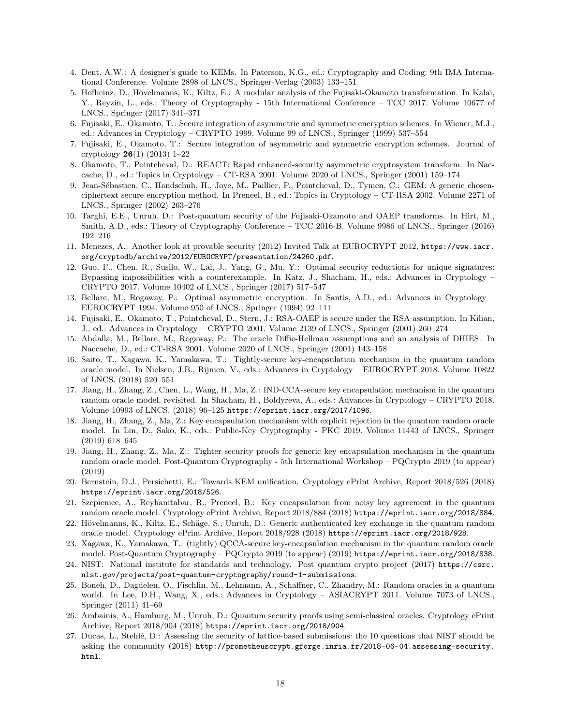- 4. Dent, A.W.: A designer's guide to KEMs. In Paterson, K.G., ed.: Cryptography and Coding: 9th IMA International Conference. Volume 2898 of LNCS., Springer-Verlag (2003) 133–151
- 5. Hofheinz, D., Hövelmanns, K., Kiltz, E.: A modular analysis of the Fujisaki-Okamoto transformation. In Kalai, Y., Reyzin, L., eds.: Theory of Cryptography - 15th International Conference – TCC 2017. Volume 10677 of LNCS., Springer (2017) 341–371
- 6. Fujisaki, E., Okamoto, T.: Secure integration of asymmetric and symmetric encryption schemes. In Wiener, M.J., ed.: Advances in Cryptology – CRYPTO 1999. Volume 99 of LNCS., Springer (1999) 537–554
- 7. Fujisaki, E., Okamoto, T.: Secure integration of asymmetric and symmetric encryption schemes. Journal of cryptology 26(1) (2013) 1–22
- 8. Okamoto, T., Pointcheval, D.: REACT: Rapid enhanced-security asymmetric cryptosystem transform. In Naccache, D., ed.: Topics in Cryptology – CT-RSA 2001. Volume 2020 of LNCS., Springer (2001) 159–174
- 9. Jean-S´ebastien, C., Handschuh, H., Joye, M., Paillier, P., Pointcheval, D., Tymen, C.: GEM: A generic chosenciphertext secure encryption method. In Preneel, B., ed.: Topics in Cryptology – CT-RSA 2002. Volume 2271 of LNCS., Springer (2002) 263–276
- 10. Targhi, E.E., Unruh, D.: Post-quantum security of the Fujisaki-Okamoto and OAEP transforms. In Hirt, M., Smith, A.D., eds.: Theory of Cryptography Conference – TCC 2016-B. Volume 9986 of LNCS., Springer (2016) 192–216
- 11. Menezes, A.: Another look at provable security (2012) Invited Talk at EUROCRYPT 2012, https://www.iacr. org/cryptodb/archive/2012/EUROCRYPT/presentation/24260.pdf.
- 12. Guo, F., Chen, R., Susilo, W., Lai, J., Yang, G., Mu, Y.: Optimal security reductions for unique signatures: Bypassing impossibilities with a counterexample. In Katz, J., Shacham, H., eds.: Advances in Cryptology – CRYPTO 2017. Volume 10402 of LNCS., Springer (2017) 517–547
- 13. Bellare, M., Rogaway, P.: Optimal asymmetric encryption. In Santis, A.D., ed.: Advances in Cryptology EUROCRYPT 1994. Volume 950 of LNCS., Springer (1994) 92–111
- 14. Fujisaki, E., Okamoto, T., Pointcheval, D., Stern, J.: RSA-OAEP is secure under the RSA assumption. In Kilian, J., ed.: Advances in Cryptology – CRYPTO 2001. Volume 2139 of LNCS., Springer (2001) 260–274
- 15. Abdalla, M., Bellare, M., Rogaway, P.: The oracle Diffie-Hellman assumptions and an analysis of DHIES. In Naccache, D., ed.: CT-RSA 2001. Volume 2020 of LNCS., Springer (2001) 143–158
- 16. Saito, T., Xagawa, K., Yamakawa, T.: Tightly-secure key-encapsulation mechanism in the quantum random oracle model. In Nielsen, J.B., Rijmen, V., eds.: Advances in Cryptology – EUROCRYPT 2018. Volume 10822 of LNCS. (2018) 520–551
- 17. Jiang, H., Zhang, Z., Chen, L., Wang, H., Ma, Z.: IND-CCA-secure key encapsulation mechanism in the quantum random oracle model, revisited. In Shacham, H., Boldyreva, A., eds.: Advances in Cryptology – CRYPTO 2018. Volume 10993 of LNCS. (2018) 96–125 https://eprint.iacr.org/2017/1096.
- 18. Jiang, H., Zhang, Z., Ma, Z.: Key encapsulation mechanism with explicit rejection in the quantum random oracle model. In Lin, D., Sako, K., eds.: Public-Key Cryptography - PKC 2019. Volume 11443 of LNCS., Springer (2019) 618–645
- 19. Jiang, H., Zhang, Z., Ma, Z.: Tighter security proofs for generic key encapsulation mechanism in the quantum random oracle model. Post-Quantum Cryptography - 5th International Workshop – PQCrypto 2019 (to appear) (2019)
- 20. Bernstein, D.J., Persichetti, E.: Towards KEM unification. Cryptology ePrint Archive, Report 2018/526 (2018) https://eprint.iacr.org/2018/526.
- 21. Szepieniec, A., Reyhanitabar, R., Preneel, B.: Key encapsulation from noisy key agreement in the quantum random oracle model. Cryptology ePrint Archive, Report 2018/884 (2018) https://eprint.iacr.org/2018/884.
- 22. Hövelmanns, K., Kiltz, E., Schäge, S., Unruh, D.: Generic authenticated key exchange in the quantum random oracle model. Cryptology ePrint Archive, Report 2018/928 (2018) https://eprint.iacr.org/2018/928.
- 23. Xagawa, K., Yamakawa, T.: (tightly) QCCA-secure key-encapsulation mechanism in the quantum random oracle model. Post-Quantum Cryptography – PQCrypto 2019 (to appear) (2019) https://eprint.iacr.org/2018/838.
- 24. NIST: National institute for standards and technology. Post quantum crypto project (2017) https://csrc. nist.gov/projects/post-quantum-cryptography/round-1-submissions.
- 25. Boneh, D., Dagdelen, O., Fischlin, M., Lehmann, A., Schaffner, C., Zhandry, M.: Random oracles in a quantum world. In Lee, D.H., Wang, X., eds.: Advances in Cryptology – ASIACRYPT 2011. Volume 7073 of LNCS., Springer (2011) 41–69
- 26. Ambainis, A., Hamburg, M., Unruh, D.: Quantum security proofs using semi-classical oracles. Cryptology ePrint Archive, Report 2018/904 (2018) https://eprint.iacr.org/2018/904.
- 27. Ducas, L., Stehl´e, D.: Assessing the security of lattice-based submissions: the 10 questions that NIST should be asking the community (2018) http://prometheuscrypt.gforge.inria.fr/2018-06-04.assessing-security. html.